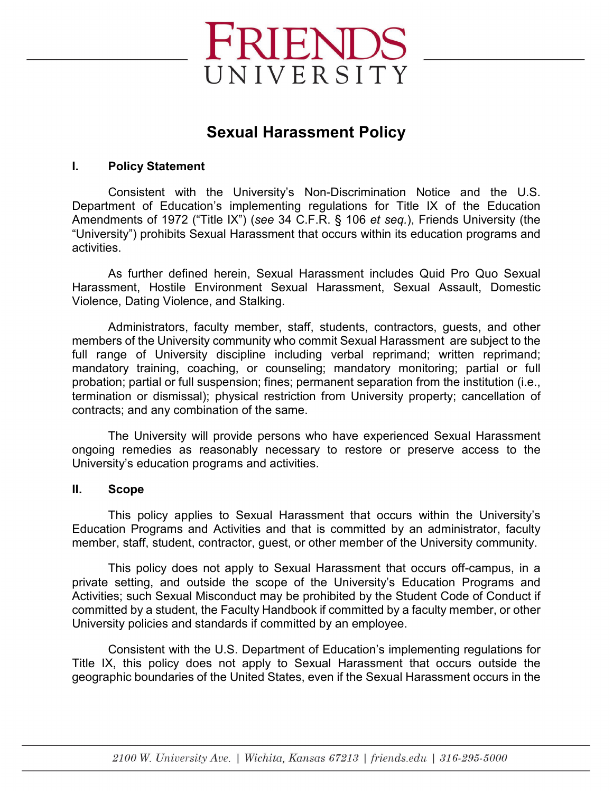

## **Sexual Harassment Policy**

## **I. Policy Statement**

Consistent with the University's Non-Discrimination Notice and the U.S. Department of Education's implementing regulations for Title IX of the Education Amendments of 1972 ("Title IX") (*see* 34 C.F.R. § 106 *et seq.*), Friends University (the "University") prohibits Sexual Harassment that occurs within its education programs and activities.

As further defined herein, Sexual Harassment includes Quid Pro Quo Sexual Harassment, Hostile Environment Sexual Harassment, Sexual Assault, Domestic Violence, Dating Violence, and Stalking.

Administrators, faculty member, staff, students, contractors, guests, and other members of the University community who commit Sexual Harassment are subject to the full range of University discipline including verbal reprimand; written reprimand; mandatory training, coaching, or counseling; mandatory monitoring; partial or full probation; partial or full suspension; fines; permanent separation from the institution (i.e., termination or dismissal); physical restriction from University property; cancellation of contracts; and any combination of the same.

The University will provide persons who have experienced Sexual Harassment ongoing remedies as reasonably necessary to restore or preserve access to the University's education programs and activities.

## **II. Scope**

This policy applies to Sexual Harassment that occurs within the University's Education Programs and Activities and that is committed by an administrator, faculty member, staff, student, contractor, guest, or other member of the University community.

This policy does not apply to Sexual Harassment that occurs off-campus, in a private setting, and outside the scope of the University's Education Programs and Activities; such Sexual Misconduct may be prohibited by the Student Code of Conduct if committed by a student, the Faculty Handbook if committed by a faculty member, or other University policies and standards if committed by an employee.

Consistent with the U.S. Department of Education's implementing regulations for Title IX, this policy does not apply to Sexual Harassment that occurs outside the geographic boundaries of the United States, even if the Sexual Harassment occurs in the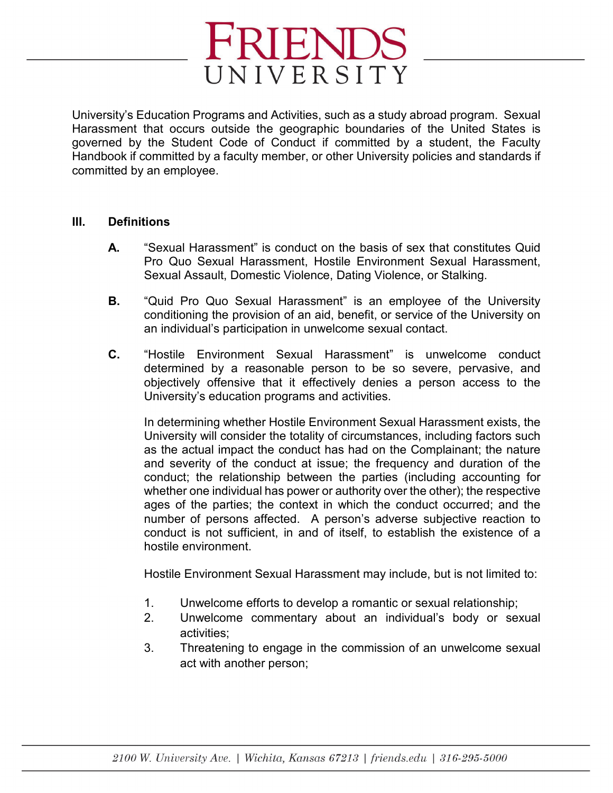

University's Education Programs and Activities, such as a study abroad program. Sexual Harassment that occurs outside the geographic boundaries of the United States is governed by the Student Code of Conduct if committed by a student, the Faculty Handbook if committed by a faculty member, or other University policies and standards if committed by an employee.

#### **III. Definitions**

- **A.** "Sexual Harassment" is conduct on the basis of sex that constitutes Quid Pro Quo Sexual Harassment, Hostile Environment Sexual Harassment, Sexual Assault, Domestic Violence, Dating Violence, or Stalking.
- **B.** "Quid Pro Quo Sexual Harassment" is an employee of the University conditioning the provision of an aid, benefit, or service of the University on an individual's participation in unwelcome sexual contact.
- **C.** "Hostile Environment Sexual Harassment" is unwelcome conduct determined by a reasonable person to be so severe, pervasive, and objectively offensive that it effectively denies a person access to the University's education programs and activities.

In determining whether Hostile Environment Sexual Harassment exists, the University will consider the totality of circumstances, including factors such as the actual impact the conduct has had on the Complainant; the nature and severity of the conduct at issue; the frequency and duration of the conduct; the relationship between the parties (including accounting for whether one individual has power or authority over the other); the respective ages of the parties; the context in which the conduct occurred; and the number of persons affected. A person's adverse subjective reaction to conduct is not sufficient, in and of itself, to establish the existence of a hostile environment.

Hostile Environment Sexual Harassment may include, but is not limited to:

- 1. Unwelcome efforts to develop a romantic or sexual relationship;
- 2. Unwelcome commentary about an individual's body or sexual activities;
- 3. Threatening to engage in the commission of an unwelcome sexual act with another person;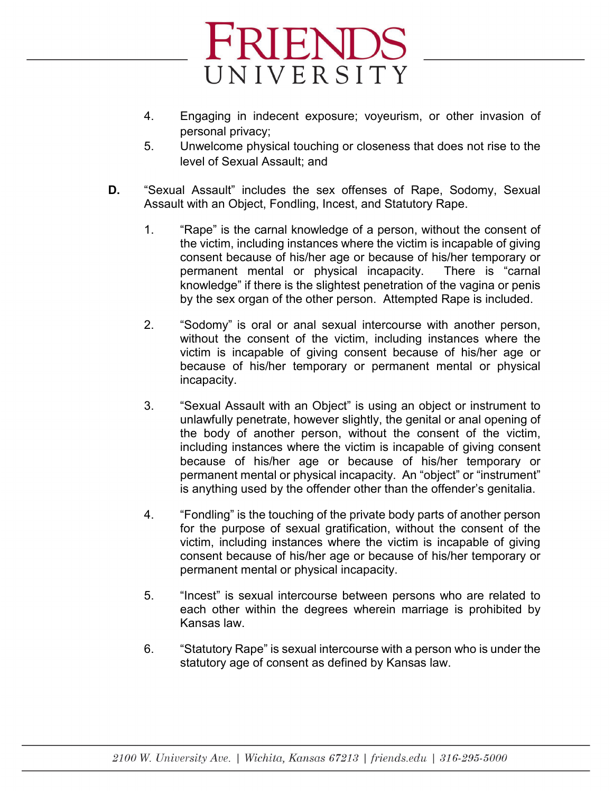

- 4. Engaging in indecent exposure; voyeurism, or other invasion of personal privacy;
- 5. Unwelcome physical touching or closeness that does not rise to the level of Sexual Assault; and
- **D.** "Sexual Assault" includes the sex offenses of Rape, Sodomy, Sexual Assault with an Object, Fondling, Incest, and Statutory Rape.
	- 1. "Rape" is the carnal knowledge of a person, without the consent of the victim, including instances where the victim is incapable of giving consent because of his/her age or because of his/her temporary or permanent mental or physical incapacity. There is "carnal knowledge" if there is the slightest penetration of the vagina or penis by the sex organ of the other person. Attempted Rape is included.
	- 2. "Sodomy" is oral or anal sexual intercourse with another person, without the consent of the victim, including instances where the victim is incapable of giving consent because of his/her age or because of his/her temporary or permanent mental or physical incapacity.
	- 3. "Sexual Assault with an Object" is using an object or instrument to unlawfully penetrate, however slightly, the genital or anal opening of the body of another person, without the consent of the victim, including instances where the victim is incapable of giving consent because of his/her age or because of his/her temporary or permanent mental or physical incapacity. An "object" or "instrument" is anything used by the offender other than the offender's genitalia.
	- 4. "Fondling" is the touching of the private body parts of another person for the purpose of sexual gratification, without the consent of the victim, including instances where the victim is incapable of giving consent because of his/her age or because of his/her temporary or permanent mental or physical incapacity.
	- 5. "Incest" is sexual intercourse between persons who are related to each other within the degrees wherein marriage is prohibited by Kansas law.
	- 6. "Statutory Rape" is sexual intercourse with a person who is under the statutory age of consent as defined by Kansas law.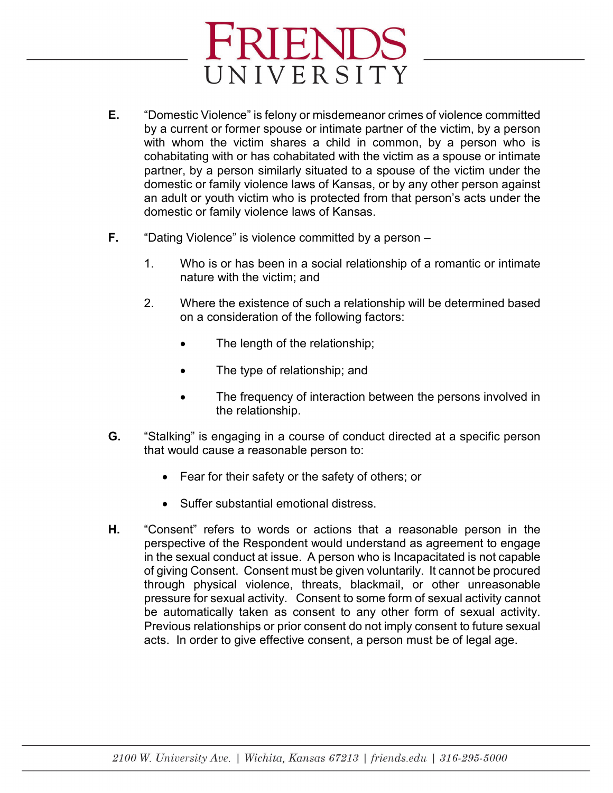- **E.** "Domestic Violence" is felony or misdemeanor crimes of violence committed by a current or former spouse or intimate partner of the victim, by a person with whom the victim shares a child in common, by a person who is cohabitating with or has cohabitated with the victim as a spouse or intimate partner, by a person similarly situated to a spouse of the victim under the domestic or family violence laws of Kansas, or by any other person against an adult or youth victim who is protected from that person's acts under the domestic or family violence laws of Kansas.
- **F.** "Dating Violence" is violence committed by a person
	- 1. Who is or has been in a social relationship of a romantic or intimate nature with the victim; and
	- 2. Where the existence of such a relationship will be determined based on a consideration of the following factors:
		- The length of the relationship;
		- The type of relationship; and
		- The frequency of interaction between the persons involved in the relationship.
- **G.** "Stalking" is engaging in a course of conduct directed at a specific person that would cause a reasonable person to:
	- Fear for their safety or the safety of others; or
	- Suffer substantial emotional distress.
- **H.** "Consent" refers to words or actions that a reasonable person in the perspective of the Respondent would understand as agreement to engage in the sexual conduct at issue. A person who is Incapacitated is not capable of giving Consent. Consent must be given voluntarily. It cannot be procured through physical violence, threats, blackmail, or other unreasonable pressure for sexual activity. Consent to some form of sexual activity cannot be automatically taken as consent to any other form of sexual activity. Previous relationships or prior consent do not imply consent to future sexual acts. In order to give effective consent, a person must be of legal age.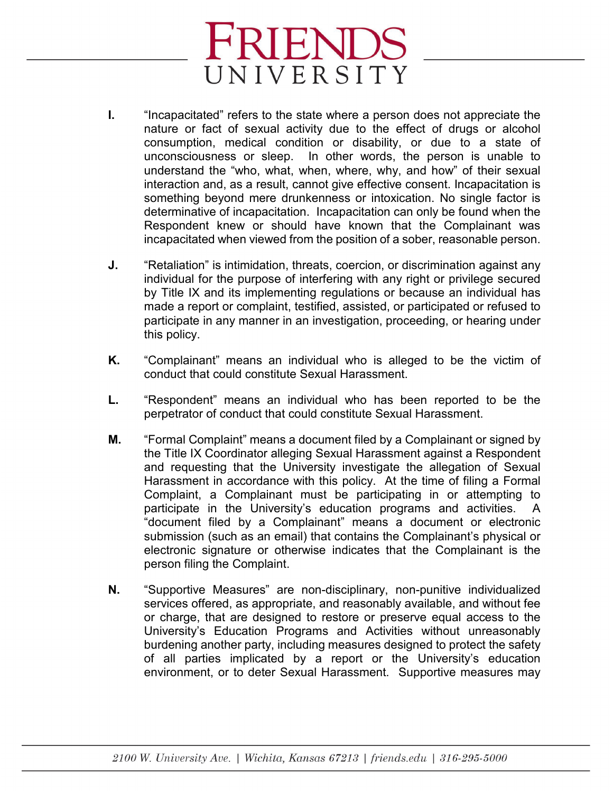- **I.** "Incapacitated" refers to the state where a person does not appreciate the nature or fact of sexual activity due to the effect of drugs or alcohol consumption, medical condition or disability, or due to a state of unconsciousness or sleep. In other words, the person is unable to understand the "who, what, when, where, why, and how" of their sexual interaction and, as a result, cannot give effective consent. Incapacitation is something beyond mere drunkenness or intoxication. No single factor is determinative of incapacitation. Incapacitation can only be found when the Respondent knew or should have known that the Complainant was incapacitated when viewed from the position of a sober, reasonable person.
- **J.** "Retaliation" is intimidation, threats, coercion, or discrimination against any individual for the purpose of interfering with any right or privilege secured by Title IX and its implementing regulations or because an individual has made a report or complaint, testified, assisted, or participated or refused to participate in any manner in an investigation, proceeding, or hearing under this policy.
- **K.** "Complainant" means an individual who is alleged to be the victim of conduct that could constitute Sexual Harassment.
- **L.** "Respondent" means an individual who has been reported to be the perpetrator of conduct that could constitute Sexual Harassment.
- **M.** "Formal Complaint" means a document filed by a Complainant or signed by the Title IX Coordinator alleging Sexual Harassment against a Respondent and requesting that the University investigate the allegation of Sexual Harassment in accordance with this policy. At the time of filing a Formal Complaint, a Complainant must be participating in or attempting to participate in the University's education programs and activities. A "document filed by a Complainant" means a document or electronic submission (such as an email) that contains the Complainant's physical or electronic signature or otherwise indicates that the Complainant is the person filing the Complaint.
- **N.** "Supportive Measures" are non-disciplinary, non-punitive individualized services offered, as appropriate, and reasonably available, and without fee or charge, that are designed to restore or preserve equal access to the University's Education Programs and Activities without unreasonably burdening another party, including measures designed to protect the safety of all parties implicated by a report or the University's education environment, or to deter Sexual Harassment. Supportive measures may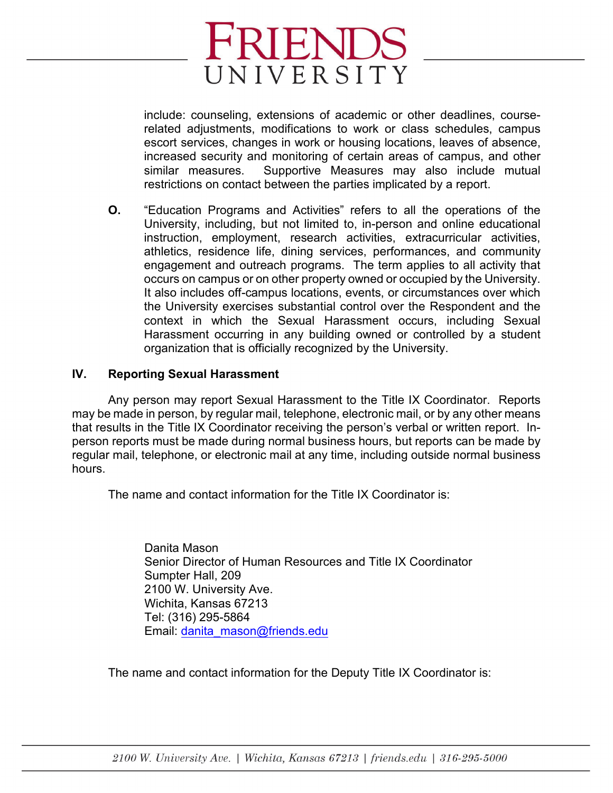include: counseling, extensions of academic or other deadlines, courserelated adjustments, modifications to work or class schedules, campus escort services, changes in work or housing locations, leaves of absence, increased security and monitoring of certain areas of campus, and other similar measures. Supportive Measures may also include mutual restrictions on contact between the parties implicated by a report.

**O.** "Education Programs and Activities" refers to all the operations of the University, including, but not limited to, in-person and online educational instruction, employment, research activities, extracurricular activities, athletics, residence life, dining services, performances, and community engagement and outreach programs. The term applies to all activity that occurs on campus or on other property owned or occupied by the University. It also includes off-campus locations, events, or circumstances over which the University exercises substantial control over the Respondent and the context in which the Sexual Harassment occurs, including Sexual Harassment occurring in any building owned or controlled by a student organization that is officially recognized by the University.

## **IV. Reporting Sexual Harassment**

Any person may report Sexual Harassment to the Title IX Coordinator. Reports may be made in person, by regular mail, telephone, electronic mail, or by any other means that results in the Title IX Coordinator receiving the person's verbal or written report. Inperson reports must be made during normal business hours, but reports can be made by regular mail, telephone, or electronic mail at any time, including outside normal business hours.

The name and contact information for the Title IX Coordinator is:

Danita Mason Senior Director of Human Resources and Title IX Coordinator Sumpter Hall, 209 2100 W. University Ave. Wichita, Kansas 67213 Tel: (316) 295-5864 Email: [danita\\_mason@friends](mailto:kwilliams@friends.edu).edu

The name and contact information for the Deputy Title IX Coordinator is: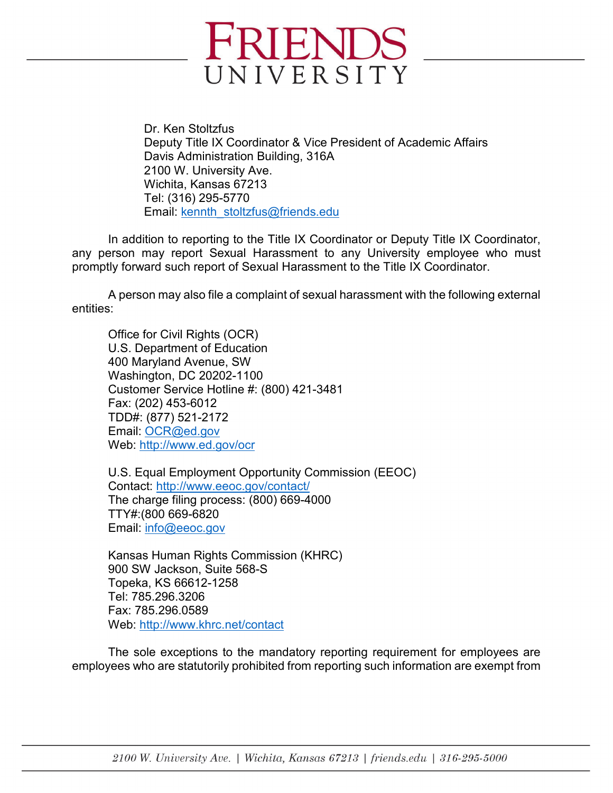

Dr. Ken Stoltzfus Deputy Title IX Coordinator & Vice President of Academic Affairs Davis Administration Building, 316A 2100 W. University Ave. Wichita, Kansas 67213 Tel: (316) 295-5770 Email: kennth\_stoltzfus@friends.edu

In addition to reporting to the Title IX Coordinator or Deputy Title IX Coordinator, any person may report Sexual Harassment to any University employee who must promptly forward such report of Sexual Harassment to the Title IX Coordinator.

A person may also file a complaint of sexual harassment with the following external entities:

Office for Civil Rights (OCR) U.S. Department of Education 400 Maryland Avenue, SW Washington, DC 20202-1100 Customer Service Hotline #: (800) 421-3481 Fax: (202) 453-6012 TDD#: (877) 521-2172 Email: [OCR@ed.gov](mailto:OCR@ed.gov)  Web:<http://www.ed.gov/ocr>

U.S. Equal Employment Opportunity Commission (EEOC) Contact:<http://www.eeoc.gov/contact/> The charge filing process: (800) 669-4000 TTY#:(800 669-6820 Email: [info@eeoc.gov](mailto:info@eeoc.gov)

Kansas Human Rights Commission (KHRC) 900 SW Jackson, Suite 568-S Topeka, KS 66612-1258 Tel: 785.296.3206 Fax: 785.296.0589 Web:<http://www.khrc.net/contact>

The sole exceptions to the mandatory reporting requirement for employees are employees who are statutorily prohibited from reporting such information are exempt from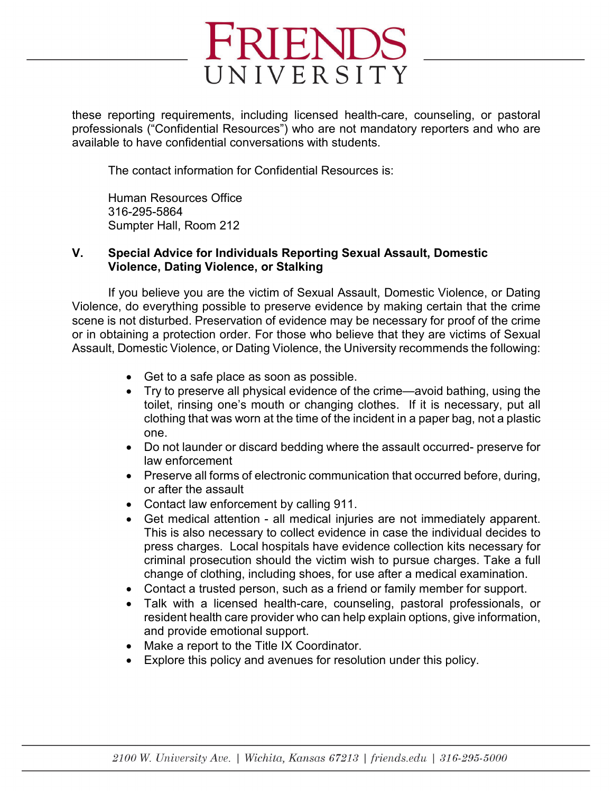

these reporting requirements, including licensed health-care, counseling, or pastoral professionals ("Confidential Resources") who are not mandatory reporters and who are available to have confidential conversations with students.

The contact information for Confidential Resources is:

Human Resources Office 316-295-5864 Sumpter Hall, Room 212

## **V. Special Advice for Individuals Reporting Sexual Assault, Domestic Violence, Dating Violence, or Stalking**

If you believe you are the victim of Sexual Assault, Domestic Violence, or Dating Violence, do everything possible to preserve evidence by making certain that the crime scene is not disturbed. Preservation of evidence may be necessary for proof of the crime or in obtaining a protection order. For those who believe that they are victims of Sexual Assault, Domestic Violence, or Dating Violence, the University recommends the following:

- Get to a safe place as soon as possible.
- Try to preserve all physical evidence of the crime—avoid bathing, using the toilet, rinsing one's mouth or changing clothes. If it is necessary, put all clothing that was worn at the time of the incident in a paper bag, not a plastic one.
- Do not launder or discard bedding where the assault occurred- preserve for law enforcement
- Preserve all forms of electronic communication that occurred before, during, or after the assault
- Contact law enforcement by calling 911.
- Get medical attention all medical injuries are not immediately apparent. This is also necessary to collect evidence in case the individual decides to press charges. Local hospitals have evidence collection kits necessary for criminal prosecution should the victim wish to pursue charges. Take a full change of clothing, including shoes, for use after a medical examination.
- Contact a trusted person, such as a friend or family member for support.
- Talk with a licensed health-care, counseling, pastoral professionals, or resident health care provider who can help explain options, give information, and provide emotional support.
- Make a report to the Title IX Coordinator.
- Explore this policy and avenues for resolution under this policy.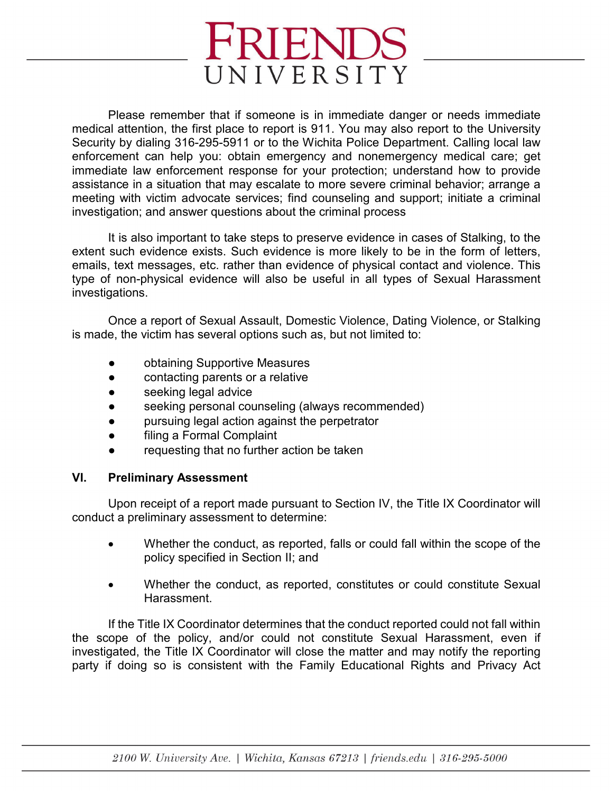Please remember that if someone is in immediate danger or needs immediate medical attention, the first place to report is 911. You may also report to the University Security by dialing 316-295-5911 or to the Wichita Police Department. Calling local law enforcement can help you: obtain emergency and nonemergency medical care; get immediate law enforcement response for your protection; understand how to provide assistance in a situation that may escalate to more severe criminal behavior; arrange a meeting with victim advocate services; find counseling and support; initiate a criminal investigation; and answer questions about the criminal process

It is also important to take steps to preserve evidence in cases of Stalking, to the extent such evidence exists. Such evidence is more likely to be in the form of letters, emails, text messages, etc. rather than evidence of physical contact and violence. This type of non-physical evidence will also be useful in all types of Sexual Harassment investigations.

Once a report of Sexual Assault, Domestic Violence, Dating Violence, or Stalking is made, the victim has several options such as, but not limited to:

- obtaining Supportive Measures
- contacting parents or a relative
- seeking legal advice
- seeking personal counseling (always recommended)
- pursuing legal action against the perpetrator
- filing a Formal Complaint
- requesting that no further action be taken

## **VI. Preliminary Assessment**

Upon receipt of a report made pursuant to Section IV, the Title IX Coordinator will conduct a preliminary assessment to determine:

- Whether the conduct, as reported, falls or could fall within the scope of the policy specified in Section II; and
- Whether the conduct, as reported, constitutes or could constitute Sexual Harassment.

If the Title IX Coordinator determines that the conduct reported could not fall within the scope of the policy, and/or could not constitute Sexual Harassment, even if investigated, the Title IX Coordinator will close the matter and may notify the reporting party if doing so is consistent with the Family Educational Rights and Privacy Act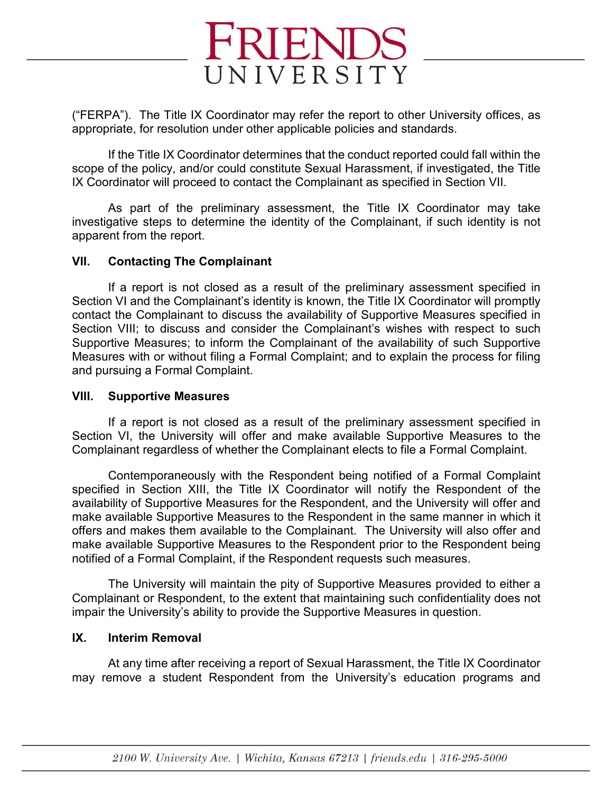

("FERPA"). The Title IX Coordinator may refer the report to other University offices, as appropriate, for resolution under other applicable policies and standards.

If the Title IX Coordinator determines that the conduct reported could fall within the scope of the policy, and/or could constitute Sexual Harassment, if investigated, the Title IX Coordinator will proceed to contact the Complainant as specified in Section VII.

As part of the preliminary assessment, the Title IX Coordinator may take investigative steps to determine the identity of the Complainant, if such identity is not apparent from the report.

#### **VII. Contacting The Complainant**

If a report is not closed as a result of the preliminary assessment specified in Section VI and the Complainant's identity is known, the Title IX Coordinator will promptly contact the Complainant to discuss the availability of Supportive Measures specified in Section VIII; to discuss and consider the Complainant's wishes with respect to such Supportive Measures; to inform the Complainant of the availability of such Supportive Measures with or without filing a Formal Complaint; and to explain the process for filing and pursuing a Formal Complaint.

#### **VIII. Supportive Measures**

If a report is not closed as a result of the preliminary assessment specified in Section VI, the University will offer and make available Supportive Measures to the Complainant regardless of whether the Complainant elects to file a Formal Complaint.

Contemporaneously with the Respondent being notified of a Formal Complaint specified in Section XIII, the Title IX Coordinator will notify the Respondent of the availability of Supportive Measures for the Respondent, and the University will offer and make available Supportive Measures to the Respondent in the same manner in which it offers and makes them available to the Complainant. The University will also offer and make available Supportive Measures to the Respondent prior to the Respondent being notified of a Formal Complaint, if the Respondent requests such measures.

The University will maintain the pity of Supportive Measures provided to either a Complainant or Respondent, to the extent that maintaining such confidentiality does not impair the University's ability to provide the Supportive Measures in question.

## **IX. Interim Removal**

At any time after receiving a report of Sexual Harassment, the Title IX Coordinator may remove a student Respondent from the University's education programs and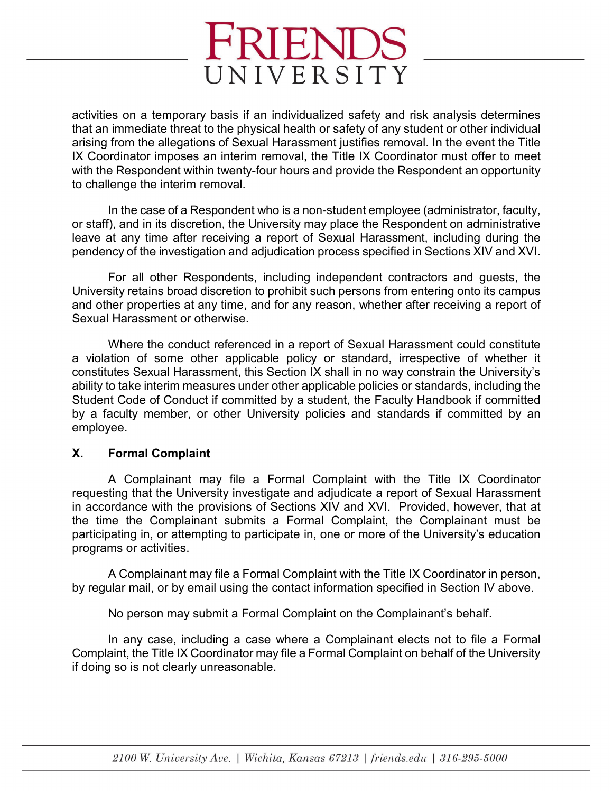activities on a temporary basis if an individualized safety and risk analysis determines that an immediate threat to the physical health or safety of any student or other individual arising from the allegations of Sexual Harassment justifies removal. In the event the Title IX Coordinator imposes an interim removal, the Title IX Coordinator must offer to meet with the Respondent within twenty-four hours and provide the Respondent an opportunity to challenge the interim removal.

In the case of a Respondent who is a non-student employee (administrator, faculty, or staff), and in its discretion, the University may place the Respondent on administrative leave at any time after receiving a report of Sexual Harassment, including during the pendency of the investigation and adjudication process specified in Sections XIV and XVI.

For all other Respondents, including independent contractors and guests, the University retains broad discretion to prohibit such persons from entering onto its campus and other properties at any time, and for any reason, whether after receiving a report of Sexual Harassment or otherwise.

Where the conduct referenced in a report of Sexual Harassment could constitute a violation of some other applicable policy or standard, irrespective of whether it constitutes Sexual Harassment, this Section IX shall in no way constrain the University's ability to take interim measures under other applicable policies or standards, including the Student Code of Conduct if committed by a student, the Faculty Handbook if committed by a faculty member, or other University policies and standards if committed by an employee.

## **X. Formal Complaint**

A Complainant may file a Formal Complaint with the Title IX Coordinator requesting that the University investigate and adjudicate a report of Sexual Harassment in accordance with the provisions of Sections XIV and XVI. Provided, however, that at the time the Complainant submits a Formal Complaint, the Complainant must be participating in, or attempting to participate in, one or more of the University's education programs or activities.

A Complainant may file a Formal Complaint with the Title IX Coordinator in person, by regular mail, or by email using the contact information specified in Section IV above.

No person may submit a Formal Complaint on the Complainant's behalf.

In any case, including a case where a Complainant elects not to file a Formal Complaint, the Title IX Coordinator may file a Formal Complaint on behalf of the University if doing so is not clearly unreasonable.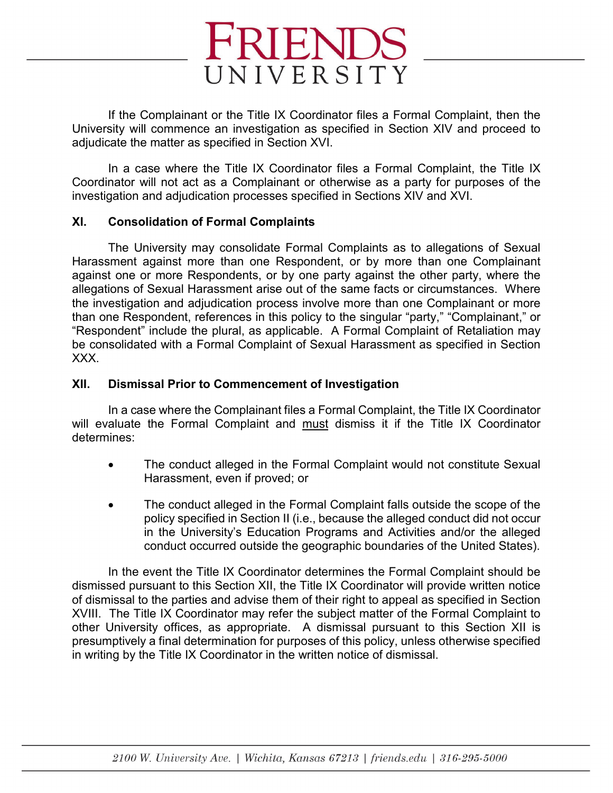

If the Complainant or the Title IX Coordinator files a Formal Complaint, then the University will commence an investigation as specified in Section XIV and proceed to adjudicate the matter as specified in Section XVI.

In a case where the Title IX Coordinator files a Formal Complaint, the Title IX Coordinator will not act as a Complainant or otherwise as a party for purposes of the investigation and adjudication processes specified in Sections XIV and XVI.

## **XI. Consolidation of Formal Complaints**

The University may consolidate Formal Complaints as to allegations of Sexual Harassment against more than one Respondent, or by more than one Complainant against one or more Respondents, or by one party against the other party, where the allegations of Sexual Harassment arise out of the same facts or circumstances. Where the investigation and adjudication process involve more than one Complainant or more than one Respondent, references in this policy to the singular "party," "Complainant," or "Respondent" include the plural, as applicable. A Formal Complaint of Retaliation may be consolidated with a Formal Complaint of Sexual Harassment as specified in Section XXX.

## **XII. Dismissal Prior to Commencement of Investigation**

In a case where the Complainant files a Formal Complaint, the Title IX Coordinator will evaluate the Formal Complaint and must dismiss it if the Title IX Coordinator determines:

- The conduct alleged in the Formal Complaint would not constitute Sexual Harassment, even if proved; or
- The conduct alleged in the Formal Complaint falls outside the scope of the policy specified in Section II (i.e., because the alleged conduct did not occur in the University's Education Programs and Activities and/or the alleged conduct occurred outside the geographic boundaries of the United States).

In the event the Title IX Coordinator determines the Formal Complaint should be dismissed pursuant to this Section XII, the Title IX Coordinator will provide written notice of dismissal to the parties and advise them of their right to appeal as specified in Section XVIII. The Title IX Coordinator may refer the subject matter of the Formal Complaint to other University offices, as appropriate. A dismissal pursuant to this Section XII is presumptively a final determination for purposes of this policy, unless otherwise specified in writing by the Title IX Coordinator in the written notice of dismissal.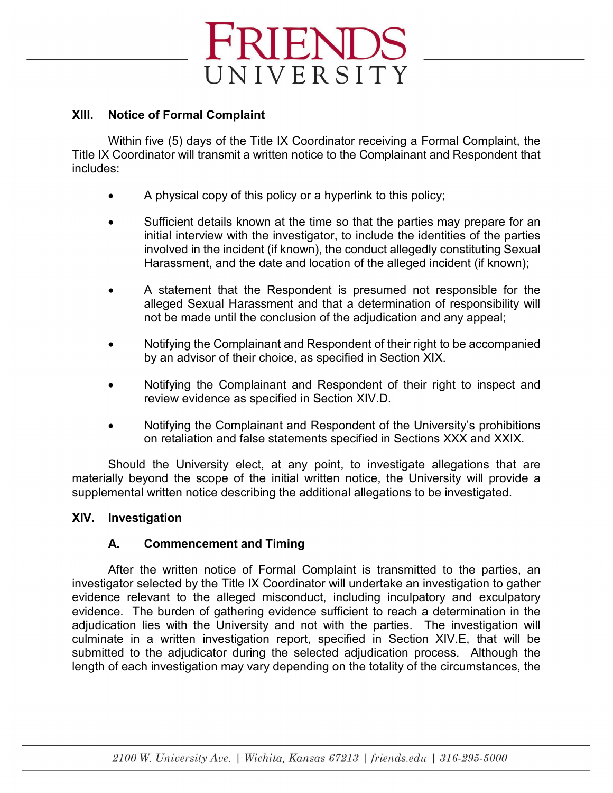## **XIII. Notice of Formal Complaint**

Within five (5) days of the Title IX Coordinator receiving a Formal Complaint, the Title IX Coordinator will transmit a written notice to the Complainant and Respondent that includes:

- A physical copy of this policy or a hyperlink to this policy;
- Sufficient details known at the time so that the parties may prepare for an initial interview with the investigator, to include the identities of the parties involved in the incident (if known), the conduct allegedly constituting Sexual Harassment, and the date and location of the alleged incident (if known);
- A statement that the Respondent is presumed not responsible for the alleged Sexual Harassment and that a determination of responsibility will not be made until the conclusion of the adjudication and any appeal;
- Notifying the Complainant and Respondent of their right to be accompanied by an advisor of their choice, as specified in Section XIX.
- Notifying the Complainant and Respondent of their right to inspect and review evidence as specified in Section XIV.D.
- Notifying the Complainant and Respondent of the University's prohibitions on retaliation and false statements specified in Sections XXX and XXIX.

Should the University elect, at any point, to investigate allegations that are materially beyond the scope of the initial written notice, the University will provide a supplemental written notice describing the additional allegations to be investigated.

## **XIV. Investigation**

## **A. Commencement and Timing**

After the written notice of Formal Complaint is transmitted to the parties, an investigator selected by the Title IX Coordinator will undertake an investigation to gather evidence relevant to the alleged misconduct, including inculpatory and exculpatory evidence. The burden of gathering evidence sufficient to reach a determination in the adjudication lies with the University and not with the parties. The investigation will culminate in a written investigation report, specified in Section XIV.E, that will be submitted to the adjudicator during the selected adjudication process. Although the length of each investigation may vary depending on the totality of the circumstances, the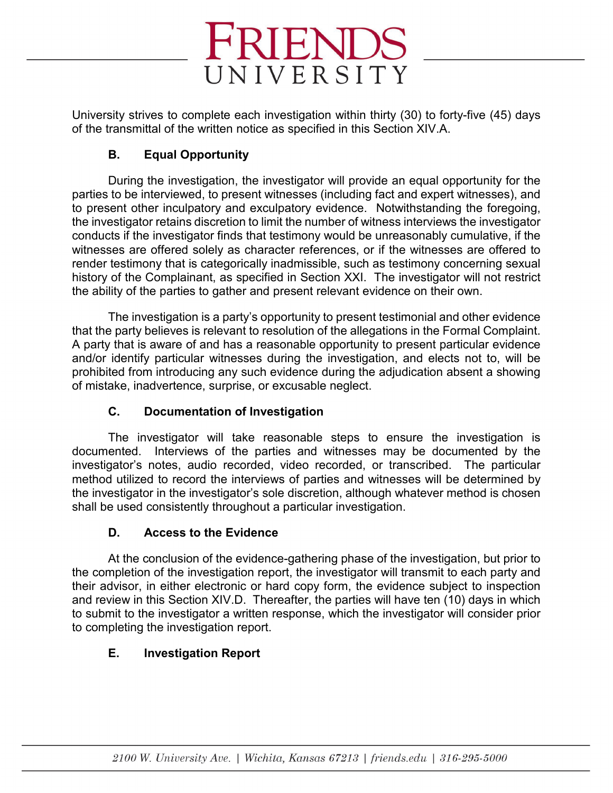

University strives to complete each investigation within thirty (30) to forty-five (45) days of the transmittal of the written notice as specified in this Section XIV.A.

## **B. Equal Opportunity**

During the investigation, the investigator will provide an equal opportunity for the parties to be interviewed, to present witnesses (including fact and expert witnesses), and to present other inculpatory and exculpatory evidence. Notwithstanding the foregoing, the investigator retains discretion to limit the number of witness interviews the investigator conducts if the investigator finds that testimony would be unreasonably cumulative, if the witnesses are offered solely as character references, or if the witnesses are offered to render testimony that is categorically inadmissible, such as testimony concerning sexual history of the Complainant, as specified in Section XXI. The investigator will not restrict the ability of the parties to gather and present relevant evidence on their own.

The investigation is a party's opportunity to present testimonial and other evidence that the party believes is relevant to resolution of the allegations in the Formal Complaint. A party that is aware of and has a reasonable opportunity to present particular evidence and/or identify particular witnesses during the investigation, and elects not to, will be prohibited from introducing any such evidence during the adjudication absent a showing of mistake, inadvertence, surprise, or excusable neglect.

## **C. Documentation of Investigation**

The investigator will take reasonable steps to ensure the investigation is documented. Interviews of the parties and witnesses may be documented by the investigator's notes, audio recorded, video recorded, or transcribed. The particular method utilized to record the interviews of parties and witnesses will be determined by the investigator in the investigator's sole discretion, although whatever method is chosen shall be used consistently throughout a particular investigation.

## **D. Access to the Evidence**

At the conclusion of the evidence-gathering phase of the investigation, but prior to the completion of the investigation report, the investigator will transmit to each party and their advisor, in either electronic or hard copy form, the evidence subject to inspection and review in this Section XIV.D. Thereafter, the parties will have ten (10) days in which to submit to the investigator a written response, which the investigator will consider prior to completing the investigation report.

## **E. Investigation Report**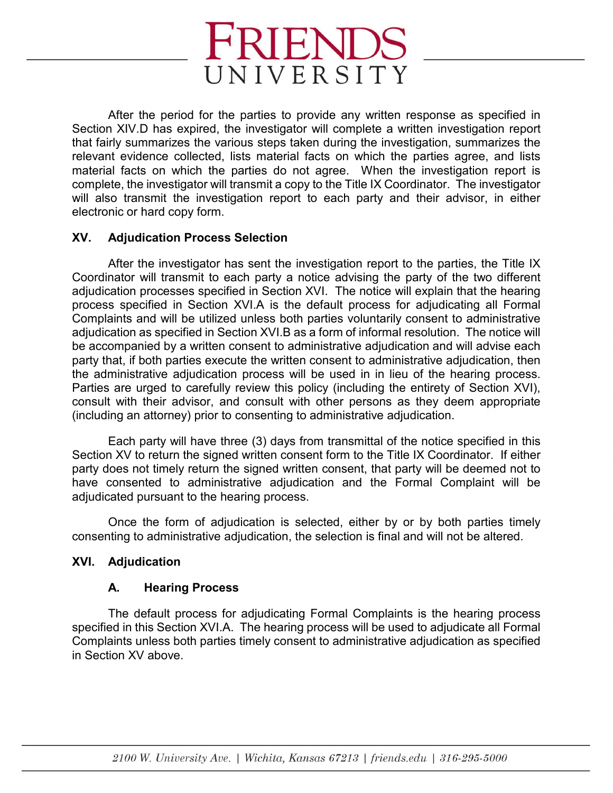

After the period for the parties to provide any written response as specified in Section XIV.D has expired, the investigator will complete a written investigation report that fairly summarizes the various steps taken during the investigation, summarizes the relevant evidence collected, lists material facts on which the parties agree, and lists material facts on which the parties do not agree. When the investigation report is complete, the investigator will transmit a copy to the Title IX Coordinator. The investigator will also transmit the investigation report to each party and their advisor, in either electronic or hard copy form.

## **XV. Adjudication Process Selection**

After the investigator has sent the investigation report to the parties, the Title IX Coordinator will transmit to each party a notice advising the party of the two different adjudication processes specified in Section XVI. The notice will explain that the hearing process specified in Section XVI.A is the default process for adjudicating all Formal Complaints and will be utilized unless both parties voluntarily consent to administrative adjudication as specified in Section XVI.B as a form of informal resolution. The notice will be accompanied by a written consent to administrative adjudication and will advise each party that, if both parties execute the written consent to administrative adjudication, then the administrative adjudication process will be used in in lieu of the hearing process. Parties are urged to carefully review this policy (including the entirety of Section XVI), consult with their advisor, and consult with other persons as they deem appropriate (including an attorney) prior to consenting to administrative adjudication.

Each party will have three (3) days from transmittal of the notice specified in this Section XV to return the signed written consent form to the Title IX Coordinator. If either party does not timely return the signed written consent, that party will be deemed not to have consented to administrative adjudication and the Formal Complaint will be adjudicated pursuant to the hearing process.

Once the form of adjudication is selected, either by or by both parties timely consenting to administrative adjudication, the selection is final and will not be altered.

## **XVI. Adjudication**

## **A. Hearing Process**

The default process for adjudicating Formal Complaints is the hearing process specified in this Section XVI.A. The hearing process will be used to adjudicate all Formal Complaints unless both parties timely consent to administrative adjudication as specified in Section XV above.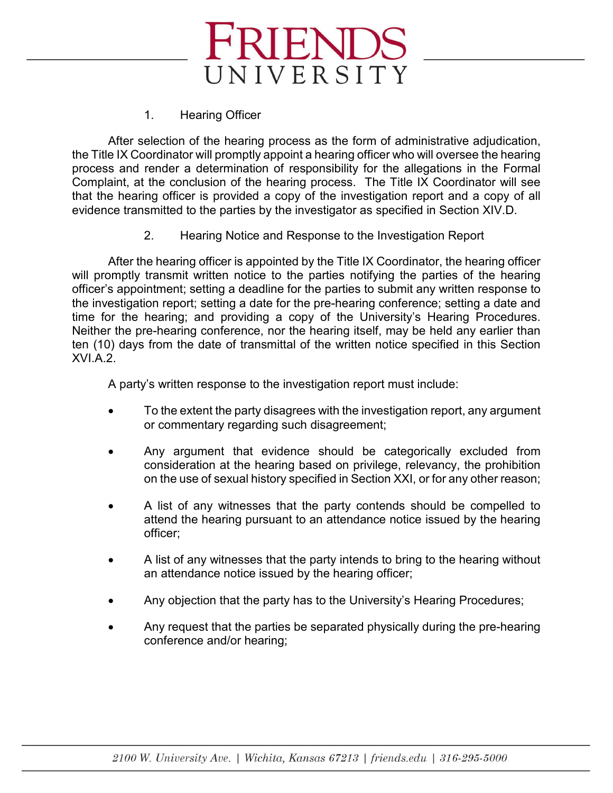## 1. Hearing Officer

After selection of the hearing process as the form of administrative adjudication, the Title IX Coordinator will promptly appoint a hearing officer who will oversee the hearing process and render a determination of responsibility for the allegations in the Formal Complaint, at the conclusion of the hearing process. The Title IX Coordinator will see that the hearing officer is provided a copy of the investigation report and a copy of all evidence transmitted to the parties by the investigator as specified in Section XIV.D.

2. Hearing Notice and Response to the Investigation Report

After the hearing officer is appointed by the Title IX Coordinator, the hearing officer will promptly transmit written notice to the parties notifying the parties of the hearing officer's appointment; setting a deadline for the parties to submit any written response to the investigation report; setting a date for the pre-hearing conference; setting a date and time for the hearing; and providing a copy of the University's Hearing Procedures. Neither the pre-hearing conference, nor the hearing itself, may be held any earlier than ten (10) days from the date of transmittal of the written notice specified in this Section XVI.A.2.

A party's written response to the investigation report must include:

- To the extent the party disagrees with the investigation report, any argument or commentary regarding such disagreement;
- Any argument that evidence should be categorically excluded from consideration at the hearing based on privilege, relevancy, the prohibition on the use of sexual history specified in Section XXI, or for any other reason;
- A list of any witnesses that the party contends should be compelled to attend the hearing pursuant to an attendance notice issued by the hearing officer;
- A list of any witnesses that the party intends to bring to the hearing without an attendance notice issued by the hearing officer;
- Any objection that the party has to the University's Hearing Procedures;
- Any request that the parties be separated physically during the pre-hearing conference and/or hearing;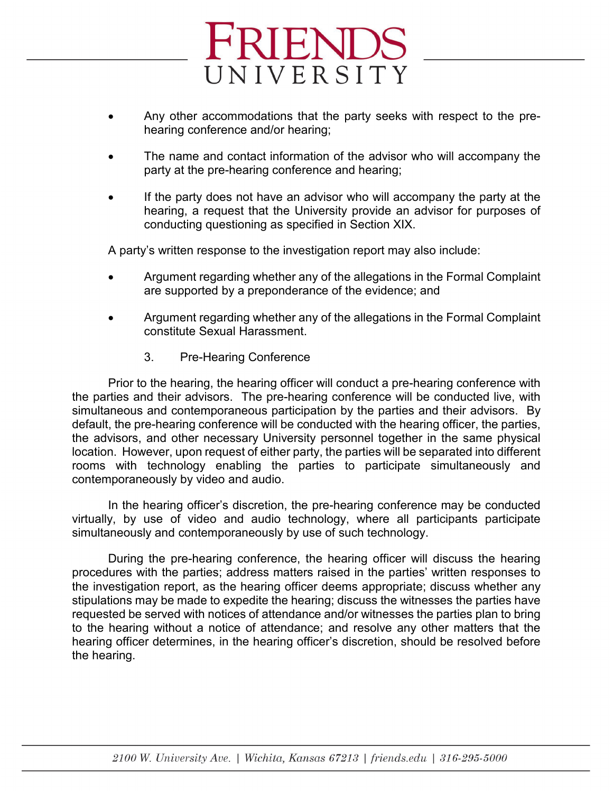

- Any other accommodations that the party seeks with respect to the prehearing conference and/or hearing;
- The name and contact information of the advisor who will accompany the party at the pre-hearing conference and hearing;
- If the party does not have an advisor who will accompany the party at the hearing, a request that the University provide an advisor for purposes of conducting questioning as specified in Section XIX.

A party's written response to the investigation report may also include:

- Argument regarding whether any of the allegations in the Formal Complaint are supported by a preponderance of the evidence; and
- Argument regarding whether any of the allegations in the Formal Complaint constitute Sexual Harassment.
	- 3. Pre-Hearing Conference

Prior to the hearing, the hearing officer will conduct a pre-hearing conference with the parties and their advisors. The pre-hearing conference will be conducted live, with simultaneous and contemporaneous participation by the parties and their advisors. By default, the pre-hearing conference will be conducted with the hearing officer, the parties, the advisors, and other necessary University personnel together in the same physical location. However, upon request of either party, the parties will be separated into different rooms with technology enabling the parties to participate simultaneously and contemporaneously by video and audio.

In the hearing officer's discretion, the pre-hearing conference may be conducted virtually, by use of video and audio technology, where all participants participate simultaneously and contemporaneously by use of such technology.

During the pre-hearing conference, the hearing officer will discuss the hearing procedures with the parties; address matters raised in the parties' written responses to the investigation report, as the hearing officer deems appropriate; discuss whether any stipulations may be made to expedite the hearing; discuss the witnesses the parties have requested be served with notices of attendance and/or witnesses the parties plan to bring to the hearing without a notice of attendance; and resolve any other matters that the hearing officer determines, in the hearing officer's discretion, should be resolved before the hearing.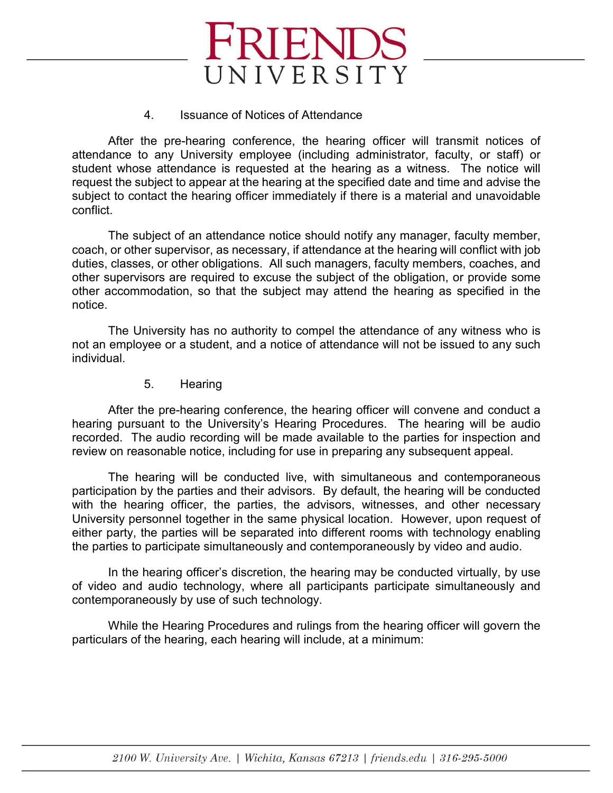

#### 4. Issuance of Notices of Attendance

After the pre-hearing conference, the hearing officer will transmit notices of attendance to any University employee (including administrator, faculty, or staff) or student whose attendance is requested at the hearing as a witness. The notice will request the subject to appear at the hearing at the specified date and time and advise the subject to contact the hearing officer immediately if there is a material and unavoidable conflict.

The subject of an attendance notice should notify any manager, faculty member, coach, or other supervisor, as necessary, if attendance at the hearing will conflict with job duties, classes, or other obligations. All such managers, faculty members, coaches, and other supervisors are required to excuse the subject of the obligation, or provide some other accommodation, so that the subject may attend the hearing as specified in the notice.

The University has no authority to compel the attendance of any witness who is not an employee or a student, and a notice of attendance will not be issued to any such individual.

5. Hearing

After the pre-hearing conference, the hearing officer will convene and conduct a hearing pursuant to the University's Hearing Procedures. The hearing will be audio recorded. The audio recording will be made available to the parties for inspection and review on reasonable notice, including for use in preparing any subsequent appeal.

The hearing will be conducted live, with simultaneous and contemporaneous participation by the parties and their advisors. By default, the hearing will be conducted with the hearing officer, the parties, the advisors, witnesses, and other necessary University personnel together in the same physical location. However, upon request of either party, the parties will be separated into different rooms with technology enabling the parties to participate simultaneously and contemporaneously by video and audio.

In the hearing officer's discretion, the hearing may be conducted virtually, by use of video and audio technology, where all participants participate simultaneously and contemporaneously by use of such technology.

While the Hearing Procedures and rulings from the hearing officer will govern the particulars of the hearing, each hearing will include, at a minimum: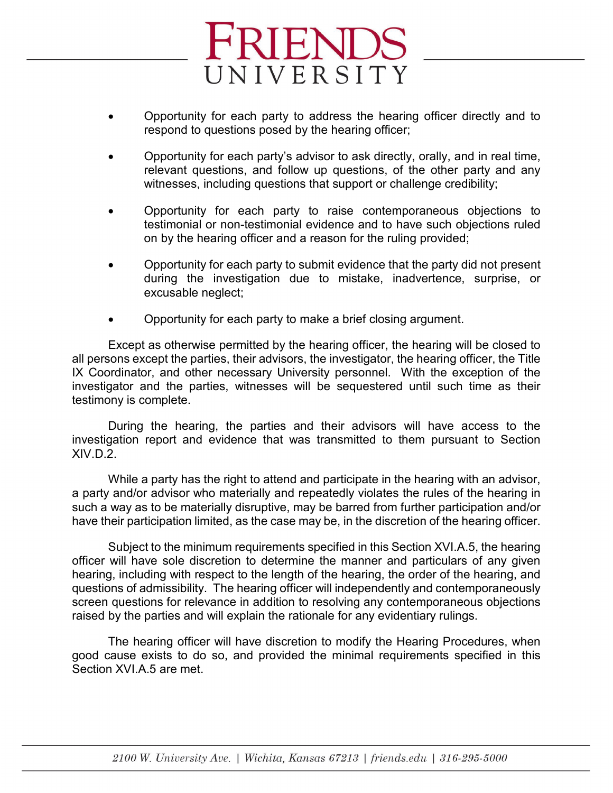

- Opportunity for each party to address the hearing officer directly and to respond to questions posed by the hearing officer;
- Opportunity for each party's advisor to ask directly, orally, and in real time, relevant questions, and follow up questions, of the other party and any witnesses, including questions that support or challenge credibility;
- Opportunity for each party to raise contemporaneous objections to testimonial or non-testimonial evidence and to have such objections ruled on by the hearing officer and a reason for the ruling provided;
- Opportunity for each party to submit evidence that the party did not present during the investigation due to mistake, inadvertence, surprise, or excusable neglect;
- Opportunity for each party to make a brief closing argument.

Except as otherwise permitted by the hearing officer, the hearing will be closed to all persons except the parties, their advisors, the investigator, the hearing officer, the Title IX Coordinator, and other necessary University personnel. With the exception of the investigator and the parties, witnesses will be sequestered until such time as their testimony is complete.

During the hearing, the parties and their advisors will have access to the investigation report and evidence that was transmitted to them pursuant to Section XIV.D.2.

While a party has the right to attend and participate in the hearing with an advisor, a party and/or advisor who materially and repeatedly violates the rules of the hearing in such a way as to be materially disruptive, may be barred from further participation and/or have their participation limited, as the case may be, in the discretion of the hearing officer.

Subject to the minimum requirements specified in this Section XVI.A.5, the hearing officer will have sole discretion to determine the manner and particulars of any given hearing, including with respect to the length of the hearing, the order of the hearing, and questions of admissibility. The hearing officer will independently and contemporaneously screen questions for relevance in addition to resolving any contemporaneous objections raised by the parties and will explain the rationale for any evidentiary rulings.

The hearing officer will have discretion to modify the Hearing Procedures, when good cause exists to do so, and provided the minimal requirements specified in this Section XVI.A.5 are met.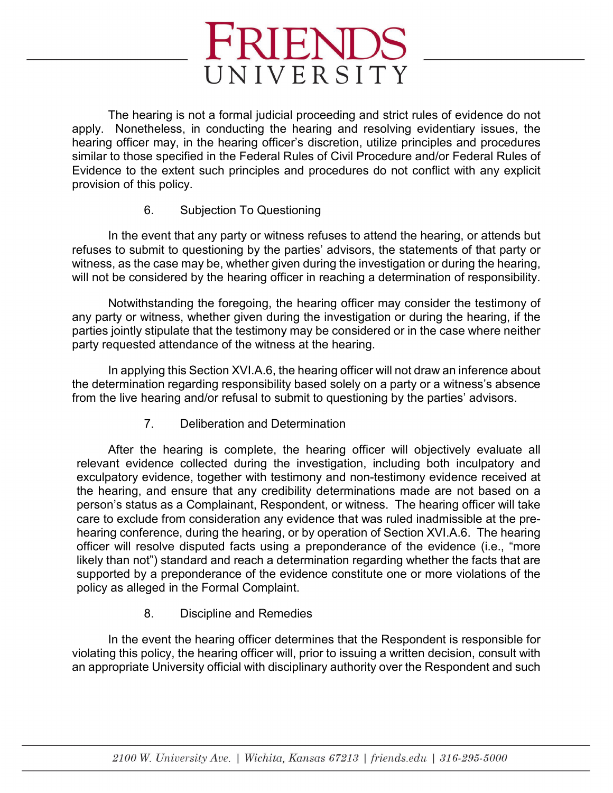The hearing is not a formal judicial proceeding and strict rules of evidence do not apply. Nonetheless, in conducting the hearing and resolving evidentiary issues, the hearing officer may, in the hearing officer's discretion, utilize principles and procedures similar to those specified in the Federal Rules of Civil Procedure and/or Federal Rules of Evidence to the extent such principles and procedures do not conflict with any explicit provision of this policy.

## 6. Subjection To Questioning

In the event that any party or witness refuses to attend the hearing, or attends but refuses to submit to questioning by the parties' advisors, the statements of that party or witness, as the case may be, whether given during the investigation or during the hearing, will not be considered by the hearing officer in reaching a determination of responsibility.

Notwithstanding the foregoing, the hearing officer may consider the testimony of any party or witness, whether given during the investigation or during the hearing, if the parties jointly stipulate that the testimony may be considered or in the case where neither party requested attendance of the witness at the hearing.

In applying this Section XVI.A.6, the hearing officer will not draw an inference about the determination regarding responsibility based solely on a party or a witness's absence from the live hearing and/or refusal to submit to questioning by the parties' advisors.

7. Deliberation and Determination

After the hearing is complete, the hearing officer will objectively evaluate all relevant evidence collected during the investigation, including both inculpatory and exculpatory evidence, together with testimony and non-testimony evidence received at the hearing, and ensure that any credibility determinations made are not based on a person's status as a Complainant, Respondent, or witness. The hearing officer will take care to exclude from consideration any evidence that was ruled inadmissible at the prehearing conference, during the hearing, or by operation of Section XVI.A.6. The hearing officer will resolve disputed facts using a preponderance of the evidence (i.e., "more likely than not") standard and reach a determination regarding whether the facts that are supported by a preponderance of the evidence constitute one or more violations of the policy as alleged in the Formal Complaint.

8. Discipline and Remedies

In the event the hearing officer determines that the Respondent is responsible for violating this policy, the hearing officer will, prior to issuing a written decision, consult with an appropriate University official with disciplinary authority over the Respondent and such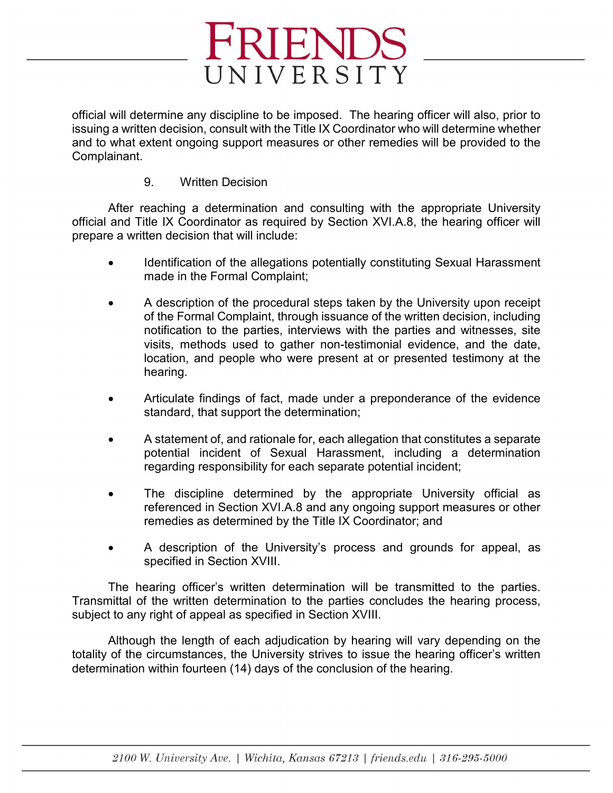

official will determine any discipline to be imposed. The hearing officer will also, prior to issuing a written decision, consult with the Title IX Coordinator who will determine whether and to what extent ongoing support measures or other remedies will be provided to the Complainant.

## 9. Written Decision

After reaching a determination and consulting with the appropriate University official and Title IX Coordinator as required by Section XVI.A.8, the hearing officer will prepare a written decision that will include:

- Identification of the allegations potentially constituting Sexual Harassment made in the Formal Complaint;
- A description of the procedural steps taken by the University upon receipt of the Formal Complaint, through issuance of the written decision, including notification to the parties, interviews with the parties and witnesses, site visits, methods used to gather non-testimonial evidence, and the date, location, and people who were present at or presented testimony at the hearing.
- Articulate findings of fact, made under a preponderance of the evidence standard, that support the determination;
- A statement of, and rationale for, each allegation that constitutes a separate potential incident of Sexual Harassment, including a determination regarding responsibility for each separate potential incident;
- The discipline determined by the appropriate University official as referenced in Section XVI.A.8 and any ongoing support measures or other remedies as determined by the Title IX Coordinator; and
- A description of the University's process and grounds for appeal, as specified in Section XVIII.

The hearing officer's written determination will be transmitted to the parties. Transmittal of the written determination to the parties concludes the hearing process, subject to any right of appeal as specified in Section XVIII.

Although the length of each adjudication by hearing will vary depending on the totality of the circumstances, the University strives to issue the hearing officer's written determination within fourteen (14) days of the conclusion of the hearing.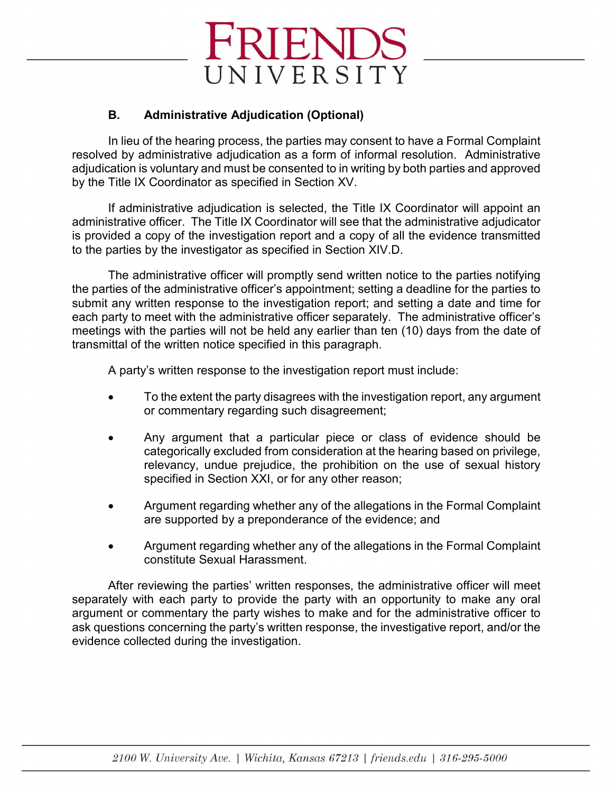## **B. Administrative Adjudication (Optional)**

In lieu of the hearing process, the parties may consent to have a Formal Complaint resolved by administrative adjudication as a form of informal resolution. Administrative adjudication is voluntary and must be consented to in writing by both parties and approved by the Title IX Coordinator as specified in Section XV.

If administrative adjudication is selected, the Title IX Coordinator will appoint an administrative officer. The Title IX Coordinator will see that the administrative adjudicator is provided a copy of the investigation report and a copy of all the evidence transmitted to the parties by the investigator as specified in Section XIV.D.

The administrative officer will promptly send written notice to the parties notifying the parties of the administrative officer's appointment; setting a deadline for the parties to submit any written response to the investigation report; and setting a date and time for each party to meet with the administrative officer separately. The administrative officer's meetings with the parties will not be held any earlier than ten (10) days from the date of transmittal of the written notice specified in this paragraph.

A party's written response to the investigation report must include:

- To the extent the party disagrees with the investigation report, any argument or commentary regarding such disagreement;
- Any argument that a particular piece or class of evidence should be categorically excluded from consideration at the hearing based on privilege, relevancy, undue prejudice, the prohibition on the use of sexual history specified in Section XXI, or for any other reason;
- Argument regarding whether any of the allegations in the Formal Complaint are supported by a preponderance of the evidence; and
- Argument regarding whether any of the allegations in the Formal Complaint constitute Sexual Harassment.

After reviewing the parties' written responses, the administrative officer will meet separately with each party to provide the party with an opportunity to make any oral argument or commentary the party wishes to make and for the administrative officer to ask questions concerning the party's written response, the investigative report, and/or the evidence collected during the investigation.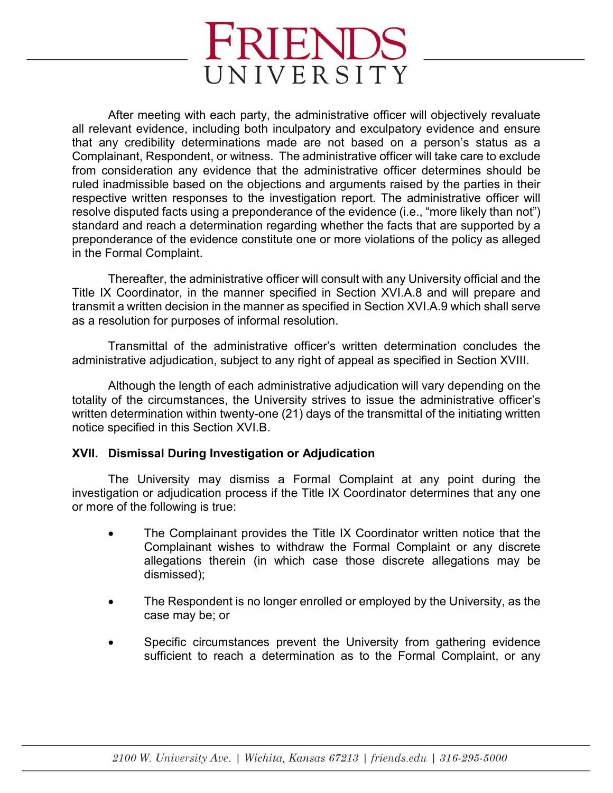After meeting with each party, the administrative officer will objectively revaluate all relevant evidence, including both inculpatory and exculpatory evidence and ensure that any credibility determinations made are not based on a person's status as a Complainant, Respondent, or witness. The administrative officer will take care to exclude from consideration any evidence that the administrative officer determines should be ruled inadmissible based on the objections and arguments raised by the parties in their respective written responses to the investigation report. The administrative officer will resolve disputed facts using a preponderance of the evidence (i.e., "more likely than not") standard and reach a determination regarding whether the facts that are supported by a preponderance of the evidence constitute one or more violations of the policy as alleged in the Formal Complaint.

Thereafter, the administrative officer will consult with any University official and the Title IX Coordinator, in the manner specified in Section XVI.A.8 and will prepare and transmit a written decision in the manner as specified in Section XVI.A.9 which shall serve as a resolution for purposes of informal resolution.

Transmittal of the administrative officer's written determination concludes the administrative adjudication, subject to any right of appeal as specified in Section XVIII.

Although the length of each administrative adjudication will vary depending on the totality of the circumstances, the University strives to issue the administrative officer's written determination within twenty-one (21) days of the transmittal of the initiating written notice specified in this Section XVI.B.

## **XVII. Dismissal During Investigation or Adjudication**

The University may dismiss a Formal Complaint at any point during the investigation or adjudication process if the Title IX Coordinator determines that any one or more of the following is true:

- The Complainant provides the Title IX Coordinator written notice that the Complainant wishes to withdraw the Formal Complaint or any discrete allegations therein (in which case those discrete allegations may be dismissed);
- The Respondent is no longer enrolled or employed by the University, as the case may be; or
- Specific circumstances prevent the University from gathering evidence sufficient to reach a determination as to the Formal Complaint, or any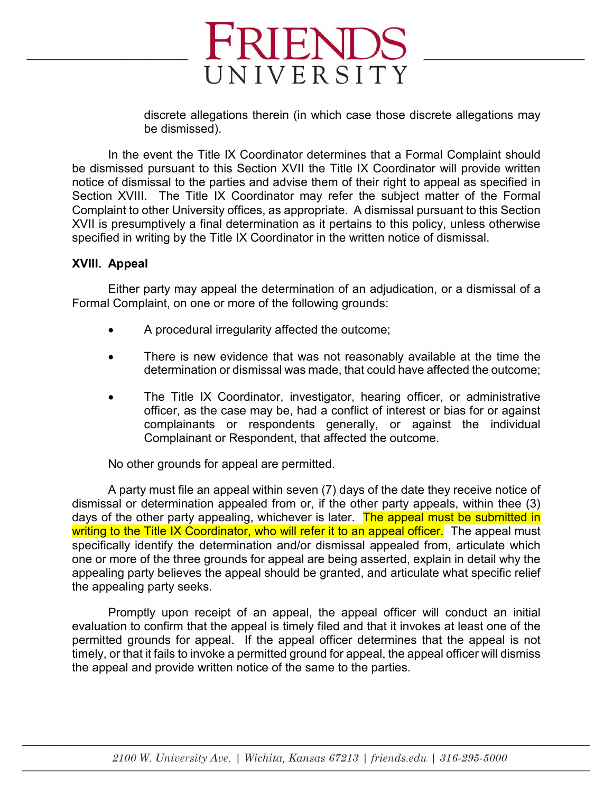discrete allegations therein (in which case those discrete allegations may be dismissed).

In the event the Title IX Coordinator determines that a Formal Complaint should be dismissed pursuant to this Section XVII the Title IX Coordinator will provide written notice of dismissal to the parties and advise them of their right to appeal as specified in Section XVIII. The Title IX Coordinator may refer the subject matter of the Formal Complaint to other University offices, as appropriate. A dismissal pursuant to this Section XVII is presumptively a final determination as it pertains to this policy, unless otherwise specified in writing by the Title IX Coordinator in the written notice of dismissal.

FRIENDS

UNIVERSITY

#### **XVIII. Appeal**

Either party may appeal the determination of an adjudication, or a dismissal of a Formal Complaint, on one or more of the following grounds:

- A procedural irregularity affected the outcome;
- There is new evidence that was not reasonably available at the time the determination or dismissal was made, that could have affected the outcome;
- The Title IX Coordinator, investigator, hearing officer, or administrative officer, as the case may be, had a conflict of interest or bias for or against complainants or respondents generally, or against the individual Complainant or Respondent, that affected the outcome.

No other grounds for appeal are permitted.

A party must file an appeal within seven (7) days of the date they receive notice of dismissal or determination appealed from or, if the other party appeals, within thee (3) days of the other party appealing, whichever is later. The appeal must be submitted in writing to the Title IX Coordinator, who will refer it to an appeal officer. The appeal must specifically identify the determination and/or dismissal appealed from, articulate which one or more of the three grounds for appeal are being asserted, explain in detail why the appealing party believes the appeal should be granted, and articulate what specific relief the appealing party seeks.

Promptly upon receipt of an appeal, the appeal officer will conduct an initial evaluation to confirm that the appeal is timely filed and that it invokes at least one of the permitted grounds for appeal. If the appeal officer determines that the appeal is not timely, or that it fails to invoke a permitted ground for appeal, the appeal officer will dismiss the appeal and provide written notice of the same to the parties.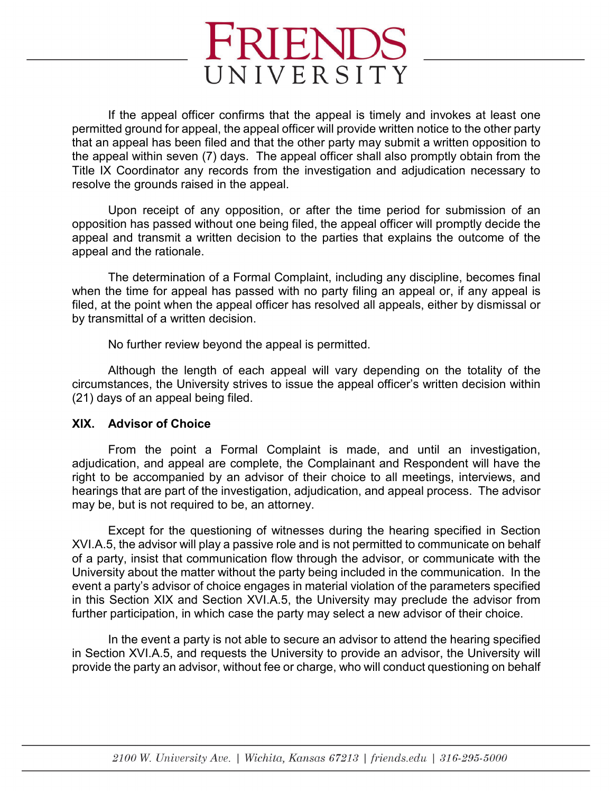If the appeal officer confirms that the appeal is timely and invokes at least one permitted ground for appeal, the appeal officer will provide written notice to the other party that an appeal has been filed and that the other party may submit a written opposition to the appeal within seven (7) days. The appeal officer shall also promptly obtain from the Title IX Coordinator any records from the investigation and adjudication necessary to resolve the grounds raised in the appeal.

Upon receipt of any opposition, or after the time period for submission of an opposition has passed without one being filed, the appeal officer will promptly decide the appeal and transmit a written decision to the parties that explains the outcome of the appeal and the rationale.

The determination of a Formal Complaint, including any discipline, becomes final when the time for appeal has passed with no party filing an appeal or, if any appeal is filed, at the point when the appeal officer has resolved all appeals, either by dismissal or by transmittal of a written decision.

No further review beyond the appeal is permitted.

Although the length of each appeal will vary depending on the totality of the circumstances, the University strives to issue the appeal officer's written decision within (21) days of an appeal being filed.

## **XIX. Advisor of Choice**

From the point a Formal Complaint is made, and until an investigation, adjudication, and appeal are complete, the Complainant and Respondent will have the right to be accompanied by an advisor of their choice to all meetings, interviews, and hearings that are part of the investigation, adjudication, and appeal process. The advisor may be, but is not required to be, an attorney.

Except for the questioning of witnesses during the hearing specified in Section XVI.A.5, the advisor will play a passive role and is not permitted to communicate on behalf of a party, insist that communication flow through the advisor, or communicate with the University about the matter without the party being included in the communication. In the event a party's advisor of choice engages in material violation of the parameters specified in this Section XIX and Section XVI.A.5, the University may preclude the advisor from further participation, in which case the party may select a new advisor of their choice.

In the event a party is not able to secure an advisor to attend the hearing specified in Section XVI.A.5, and requests the University to provide an advisor, the University will provide the party an advisor, without fee or charge, who will conduct questioning on behalf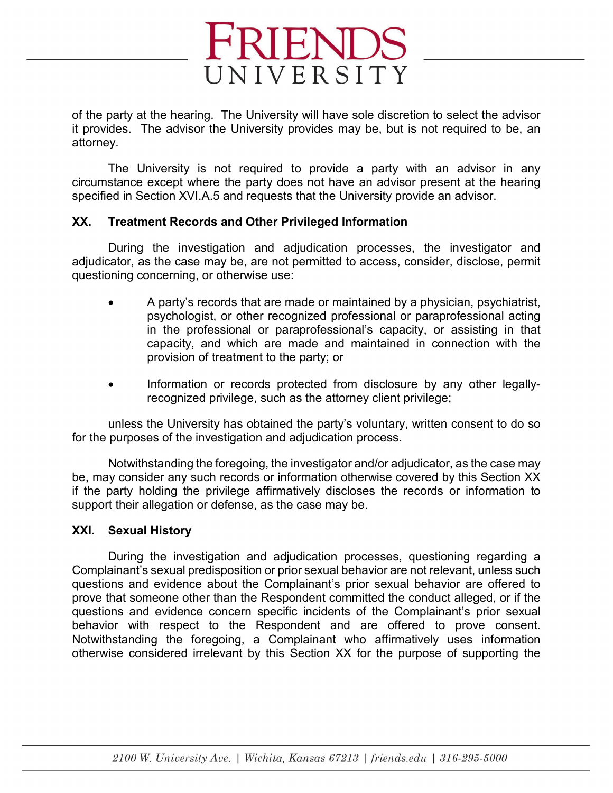

of the party at the hearing. The University will have sole discretion to select the advisor it provides. The advisor the University provides may be, but is not required to be, an attorney.

The University is not required to provide a party with an advisor in any circumstance except where the party does not have an advisor present at the hearing specified in Section XVI.A.5 and requests that the University provide an advisor.

## **XX. Treatment Records and Other Privileged Information**

During the investigation and adjudication processes, the investigator and adjudicator, as the case may be, are not permitted to access, consider, disclose, permit questioning concerning, or otherwise use:

- A party's records that are made or maintained by a physician, psychiatrist, psychologist, or other recognized professional or paraprofessional acting in the professional or paraprofessional's capacity, or assisting in that capacity, and which are made and maintained in connection with the provision of treatment to the party; or
- Information or records protected from disclosure by any other legallyrecognized privilege, such as the attorney client privilege;

unless the University has obtained the party's voluntary, written consent to do so for the purposes of the investigation and adjudication process.

Notwithstanding the foregoing, the investigator and/or adjudicator, as the case may be, may consider any such records or information otherwise covered by this Section XX if the party holding the privilege affirmatively discloses the records or information to support their allegation or defense, as the case may be.

## **XXI. Sexual History**

During the investigation and adjudication processes, questioning regarding a Complainant's sexual predisposition or prior sexual behavior are not relevant, unless such questions and evidence about the Complainant's prior sexual behavior are offered to prove that someone other than the Respondent committed the conduct alleged, or if the questions and evidence concern specific incidents of the Complainant's prior sexual behavior with respect to the Respondent and are offered to prove consent. Notwithstanding the foregoing, a Complainant who affirmatively uses information otherwise considered irrelevant by this Section XX for the purpose of supporting the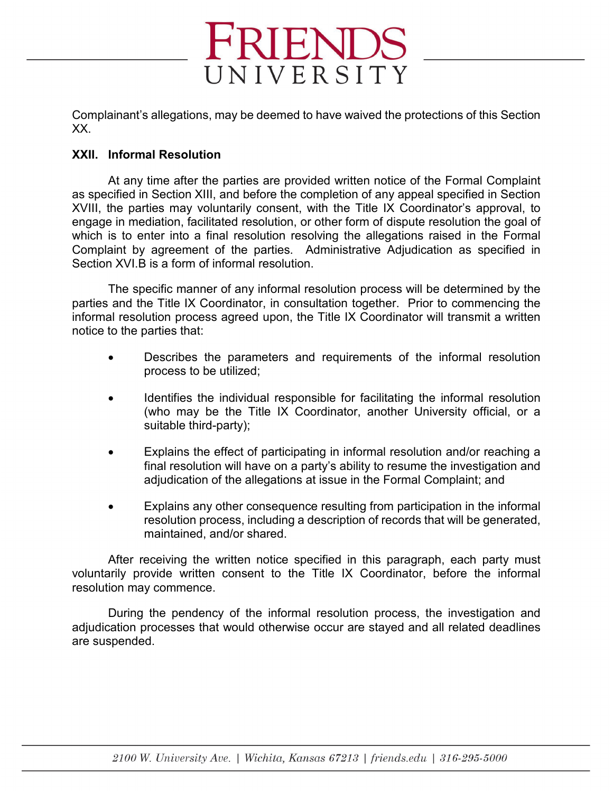Complainant's allegations, may be deemed to have waived the protections of this Section XX.

FRIENDS

UNIVERSITY

#### **XXII. Informal Resolution**

At any time after the parties are provided written notice of the Formal Complaint as specified in Section XIII, and before the completion of any appeal specified in Section XVIII, the parties may voluntarily consent, with the Title IX Coordinator's approval, to engage in mediation, facilitated resolution, or other form of dispute resolution the goal of which is to enter into a final resolution resolving the allegations raised in the Formal Complaint by agreement of the parties. Administrative Adjudication as specified in Section XVI.B is a form of informal resolution.

The specific manner of any informal resolution process will be determined by the parties and the Title IX Coordinator, in consultation together. Prior to commencing the informal resolution process agreed upon, the Title IX Coordinator will transmit a written notice to the parties that:

- Describes the parameters and requirements of the informal resolution process to be utilized;
- Identifies the individual responsible for facilitating the informal resolution (who may be the Title IX Coordinator, another University official, or a suitable third-party);
- Explains the effect of participating in informal resolution and/or reaching a final resolution will have on a party's ability to resume the investigation and adjudication of the allegations at issue in the Formal Complaint; and
- Explains any other consequence resulting from participation in the informal resolution process, including a description of records that will be generated, maintained, and/or shared.

After receiving the written notice specified in this paragraph, each party must voluntarily provide written consent to the Title IX Coordinator, before the informal resolution may commence.

During the pendency of the informal resolution process, the investigation and adjudication processes that would otherwise occur are stayed and all related deadlines are suspended.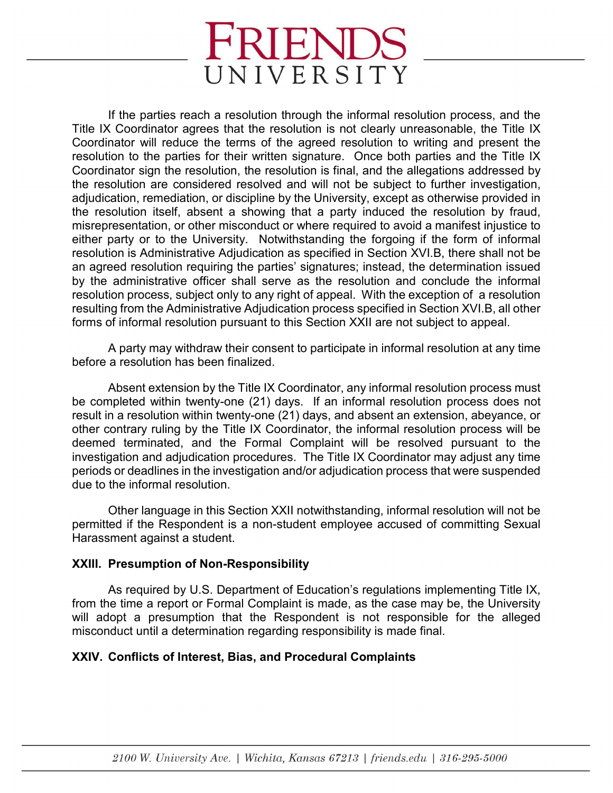If the parties reach a resolution through the informal resolution process, and the Title IX Coordinator agrees that the resolution is not clearly unreasonable, the Title IX Coordinator will reduce the terms of the agreed resolution to writing and present the resolution to the parties for their written signature. Once both parties and the Title IX Coordinator sign the resolution, the resolution is final, and the allegations addressed by the resolution are considered resolved and will not be subject to further investigation, adjudication, remediation, or discipline by the University, except as otherwise provided in the resolution itself, absent a showing that a party induced the resolution by fraud, misrepresentation, or other misconduct or where required to avoid a manifest injustice to either party or to the University. Notwithstanding the forgoing if the form of informal resolution is Administrative Adjudication as specified in Section XVI.B, there shall not be an agreed resolution requiring the parties' signatures; instead, the determination issued by the administrative officer shall serve as the resolution and conclude the informal resolution process, subject only to any right of appeal. With the exception of a resolution resulting from the Administrative Adjudication process specified in Section XVI.B, all other forms of informal resolution pursuant to this Section XXII are not subject to appeal.

A party may withdraw their consent to participate in informal resolution at any time before a resolution has been finalized.

Absent extension by the Title IX Coordinator, any informal resolution process must be completed within twenty-one (21) days. If an informal resolution process does not result in a resolution within twenty-one (21) days, and absent an extension, abeyance, or other contrary ruling by the Title IX Coordinator, the informal resolution process will be deemed terminated, and the Formal Complaint will be resolved pursuant to the investigation and adjudication procedures. The Title IX Coordinator may adjust any time periods or deadlines in the investigation and/or adjudication process that were suspended due to the informal resolution.

Other language in this Section XXII notwithstanding, informal resolution will not be permitted if the Respondent is a non-student employee accused of committing Sexual Harassment against a student.

## **XXIII. Presumption of Non-Responsibility**

As required by U.S. Department of Education's regulations implementing Title IX, from the time a report or Formal Complaint is made, as the case may be, the University will adopt a presumption that the Respondent is not responsible for the alleged misconduct until a determination regarding responsibility is made final.

## **XXIV. Conflicts of Interest, Bias, and Procedural Complaints**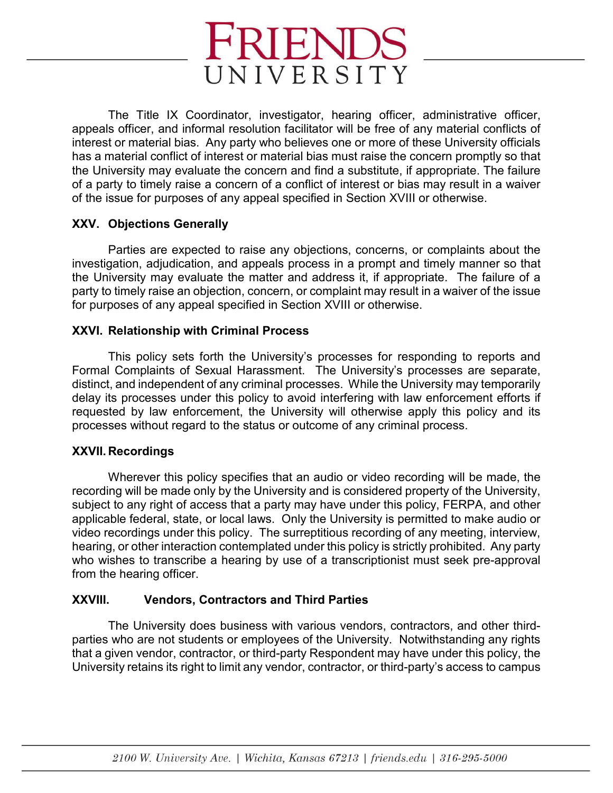

The Title IX Coordinator, investigator, hearing officer, administrative officer, appeals officer, and informal resolution facilitator will be free of any material conflicts of interest or material bias. Any party who believes one or more of these University officials has a material conflict of interest or material bias must raise the concern promptly so that the University may evaluate the concern and find a substitute, if appropriate. The failure of a party to timely raise a concern of a conflict of interest or bias may result in a waiver of the issue for purposes of any appeal specified in Section XVIII or otherwise.

## **XXV. Objections Generally**

Parties are expected to raise any objections, concerns, or complaints about the investigation, adjudication, and appeals process in a prompt and timely manner so that the University may evaluate the matter and address it, if appropriate. The failure of a party to timely raise an objection, concern, or complaint may result in a waiver of the issue for purposes of any appeal specified in Section XVIII or otherwise.

## **XXVI. Relationship with Criminal Process**

This policy sets forth the University's processes for responding to reports and Formal Complaints of Sexual Harassment. The University's processes are separate, distinct, and independent of any criminal processes. While the University may temporarily delay its processes under this policy to avoid interfering with law enforcement efforts if requested by law enforcement, the University will otherwise apply this policy and its processes without regard to the status or outcome of any criminal process.

## **XXVII. Recordings**

Wherever this policy specifies that an audio or video recording will be made, the recording will be made only by the University and is considered property of the University, subject to any right of access that a party may have under this policy, FERPA, and other applicable federal, state, or local laws. Only the University is permitted to make audio or video recordings under this policy. The surreptitious recording of any meeting, interview, hearing, or other interaction contemplated under this policy is strictly prohibited. Any party who wishes to transcribe a hearing by use of a transcriptionist must seek pre-approval from the hearing officer.

## **XXVIII. Vendors, Contractors and Third Parties**

The University does business with various vendors, contractors, and other thirdparties who are not students or employees of the University. Notwithstanding any rights that a given vendor, contractor, or third-party Respondent may have under this policy, the University retains its right to limit any vendor, contractor, or third-party's access to campus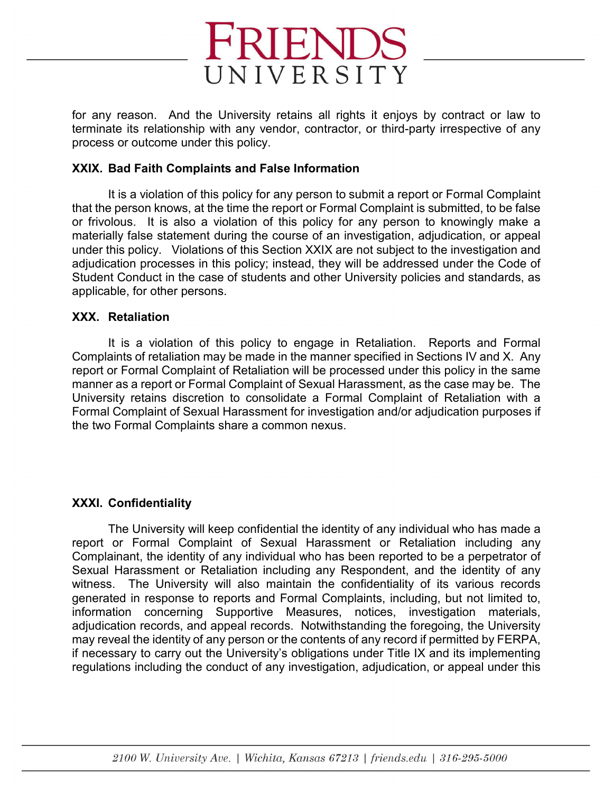

for any reason. And the University retains all rights it enjoys by contract or law to terminate its relationship with any vendor, contractor, or third-party irrespective of any process or outcome under this policy.

#### **XXIX. Bad Faith Complaints and False Information**

It is a violation of this policy for any person to submit a report or Formal Complaint that the person knows, at the time the report or Formal Complaint is submitted, to be false or frivolous. It is also a violation of this policy for any person to knowingly make a materially false statement during the course of an investigation, adjudication, or appeal under this policy. Violations of this Section XXIX are not subject to the investigation and adjudication processes in this policy; instead, they will be addressed under the Code of Student Conduct in the case of students and other University policies and standards, as applicable, for other persons.

#### **XXX. Retaliation**

It is a violation of this policy to engage in Retaliation. Reports and Formal Complaints of retaliation may be made in the manner specified in Sections IV and X. Any report or Formal Complaint of Retaliation will be processed under this policy in the same manner as a report or Formal Complaint of Sexual Harassment, as the case may be. The University retains discretion to consolidate a Formal Complaint of Retaliation with a Formal Complaint of Sexual Harassment for investigation and/or adjudication purposes if the two Formal Complaints share a common nexus.

## **XXXI. Confidentiality**

The University will keep confidential the identity of any individual who has made a report or Formal Complaint of Sexual Harassment or Retaliation including any Complainant, the identity of any individual who has been reported to be a perpetrator of Sexual Harassment or Retaliation including any Respondent, and the identity of any witness. The University will also maintain the confidentiality of its various records generated in response to reports and Formal Complaints, including, but not limited to, information concerning Supportive Measures, notices, investigation materials, adjudication records, and appeal records. Notwithstanding the foregoing, the University may reveal the identity of any person or the contents of any record if permitted by FERPA, if necessary to carry out the University's obligations under Title IX and its implementing regulations including the conduct of any investigation, adjudication, or appeal under this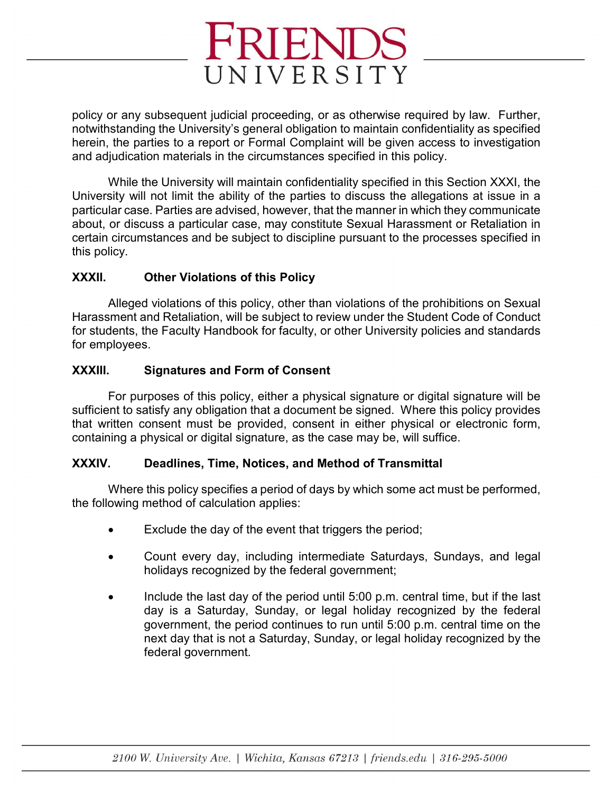policy or any subsequent judicial proceeding, or as otherwise required by law. Further, notwithstanding the University's general obligation to maintain confidentiality as specified herein, the parties to a report or Formal Complaint will be given access to investigation and adjudication materials in the circumstances specified in this policy.

While the University will maintain confidentiality specified in this Section XXXI, the University will not limit the ability of the parties to discuss the allegations at issue in a particular case. Parties are advised, however, that the manner in which they communicate about, or discuss a particular case, may constitute Sexual Harassment or Retaliation in certain circumstances and be subject to discipline pursuant to the processes specified in this policy.

## **XXXII. Other Violations of this Policy**

Alleged violations of this policy, other than violations of the prohibitions on Sexual Harassment and Retaliation, will be subject to review under the Student Code of Conduct for students, the Faculty Handbook for faculty, or other University policies and standards for employees.

## **XXXIII. Signatures and Form of Consent**

For purposes of this policy, either a physical signature or digital signature will be sufficient to satisfy any obligation that a document be signed. Where this policy provides that written consent must be provided, consent in either physical or electronic form, containing a physical or digital signature, as the case may be, will suffice.

## **XXXIV. Deadlines, Time, Notices, and Method of Transmittal**

Where this policy specifies a period of days by which some act must be performed, the following method of calculation applies:

- Exclude the day of the event that triggers the period;
- Count every day, including intermediate Saturdays, Sundays, and legal holidays recognized by the federal government;
- Include the last day of the period until 5:00 p.m. central time, but if the last day is a Saturday, Sunday, or legal holiday recognized by the federal government, the period continues to run until 5:00 p.m. central time on the next day that is not a Saturday, Sunday, or legal holiday recognized by the federal government.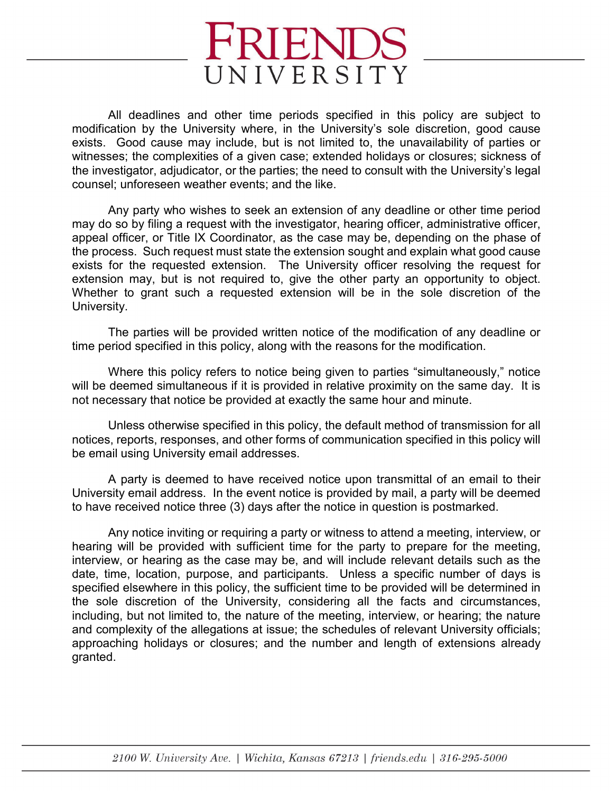

All deadlines and other time periods specified in this policy are subject to modification by the University where, in the University's sole discretion, good cause exists. Good cause may include, but is not limited to, the unavailability of parties or witnesses; the complexities of a given case; extended holidays or closures; sickness of the investigator, adjudicator, or the parties; the need to consult with the University's legal counsel; unforeseen weather events; and the like.

Any party who wishes to seek an extension of any deadline or other time period may do so by filing a request with the investigator, hearing officer, administrative officer, appeal officer, or Title IX Coordinator, as the case may be, depending on the phase of the process. Such request must state the extension sought and explain what good cause exists for the requested extension. The University officer resolving the request for extension may, but is not required to, give the other party an opportunity to object. Whether to grant such a requested extension will be in the sole discretion of the University.

The parties will be provided written notice of the modification of any deadline or time period specified in this policy, along with the reasons for the modification.

Where this policy refers to notice being given to parties "simultaneously," notice will be deemed simultaneous if it is provided in relative proximity on the same day. It is not necessary that notice be provided at exactly the same hour and minute.

Unless otherwise specified in this policy, the default method of transmission for all notices, reports, responses, and other forms of communication specified in this policy will be email using University email addresses.

A party is deemed to have received notice upon transmittal of an email to their University email address. In the event notice is provided by mail, a party will be deemed to have received notice three (3) days after the notice in question is postmarked.

Any notice inviting or requiring a party or witness to attend a meeting, interview, or hearing will be provided with sufficient time for the party to prepare for the meeting, interview, or hearing as the case may be, and will include relevant details such as the date, time, location, purpose, and participants. Unless a specific number of days is specified elsewhere in this policy, the sufficient time to be provided will be determined in the sole discretion of the University, considering all the facts and circumstances, including, but not limited to, the nature of the meeting, interview, or hearing; the nature and complexity of the allegations at issue; the schedules of relevant University officials; approaching holidays or closures; and the number and length of extensions already granted.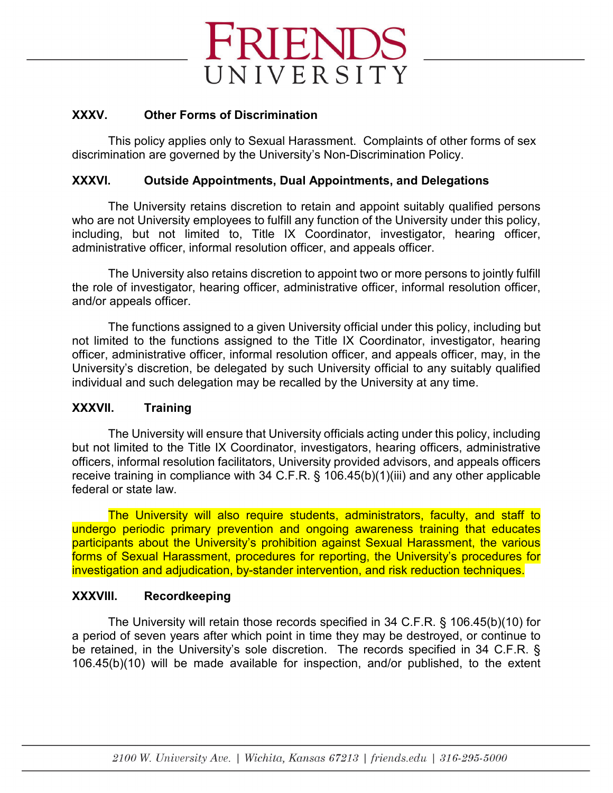

## **XXXV. Other Forms of Discrimination**

This policy applies only to Sexual Harassment. Complaints of other forms of sex discrimination are governed by the University's Non-Discrimination Policy.

## **XXXVI. Outside Appointments, Dual Appointments, and Delegations**

The University retains discretion to retain and appoint suitably qualified persons who are not University employees to fulfill any function of the University under this policy, including, but not limited to, Title IX Coordinator, investigator, hearing officer, administrative officer, informal resolution officer, and appeals officer.

The University also retains discretion to appoint two or more persons to jointly fulfill the role of investigator, hearing officer, administrative officer, informal resolution officer, and/or appeals officer.

The functions assigned to a given University official under this policy, including but not limited to the functions assigned to the Title IX Coordinator, investigator, hearing officer, administrative officer, informal resolution officer, and appeals officer, may, in the University's discretion, be delegated by such University official to any suitably qualified individual and such delegation may be recalled by the University at any time.

## **XXXVII. Training**

The University will ensure that University officials acting under this policy, including but not limited to the Title IX Coordinator, investigators, hearing officers, administrative officers, informal resolution facilitators, University provided advisors, and appeals officers receive training in compliance with 34 C.F.R. § 106.45(b)(1)(iii) and any other applicable federal or state law.

The University will also require students, administrators, faculty, and staff to undergo periodic primary prevention and ongoing awareness training that educates participants about the University's prohibition against Sexual Harassment, the various forms of Sexual Harassment, procedures for reporting, the University's procedures for investigation and adjudication, by-stander intervention, and risk reduction techniques.

## **XXXVIII. Recordkeeping**

The University will retain those records specified in 34 C.F.R. § 106.45(b)(10) for a period of seven years after which point in time they may be destroyed, or continue to be retained, in the University's sole discretion. The records specified in 34 C.F.R. § 106.45(b)(10) will be made available for inspection, and/or published, to the extent